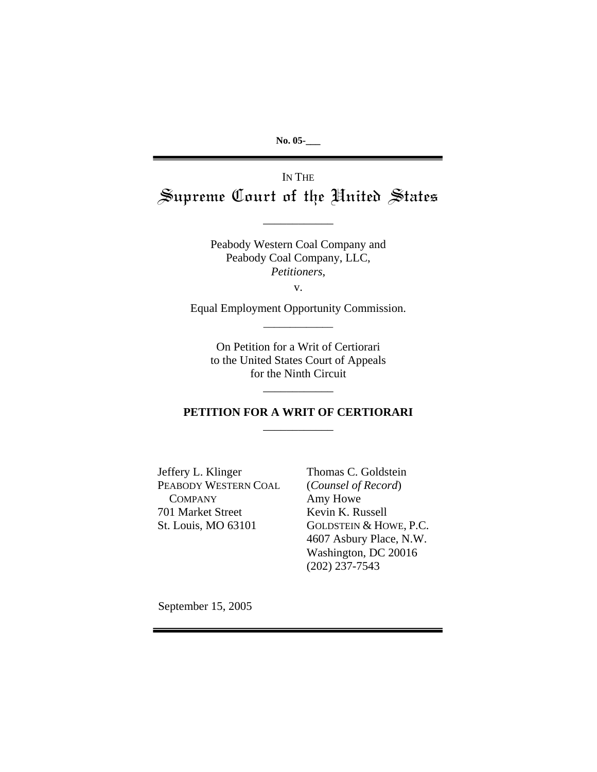**No. 05-\_\_\_**

IN THE Supreme Court of the United States

\_\_\_\_\_\_\_\_\_\_\_\_

Peabody Western Coal Company and Peabody Coal Company, LLC, *Petitioners*,

v.

Equal Employment Opportunity Commission. \_\_\_\_\_\_\_\_\_\_\_\_\_

> On Petition for a Writ of Certiorari to the United States Court of Appeals for the Ninth Circuit

## **PETITION FOR A WRIT OF CERTIORARI** \_\_\_\_\_\_\_\_\_\_\_\_

\_\_\_\_\_\_\_\_\_\_\_\_

Jeffery L. Klinger PEABODY WESTERN COAL **COMPANY** 701 Market Street St. Louis, MO 63101

Thomas C. Goldstein (*Counsel of Record*) Amy Howe Kevin K. Russell GOLDSTEIN & HOWE, P.C. 4607 Asbury Place, N.W. Washington, DC 20016 (202) 237-7543

September 15, 2005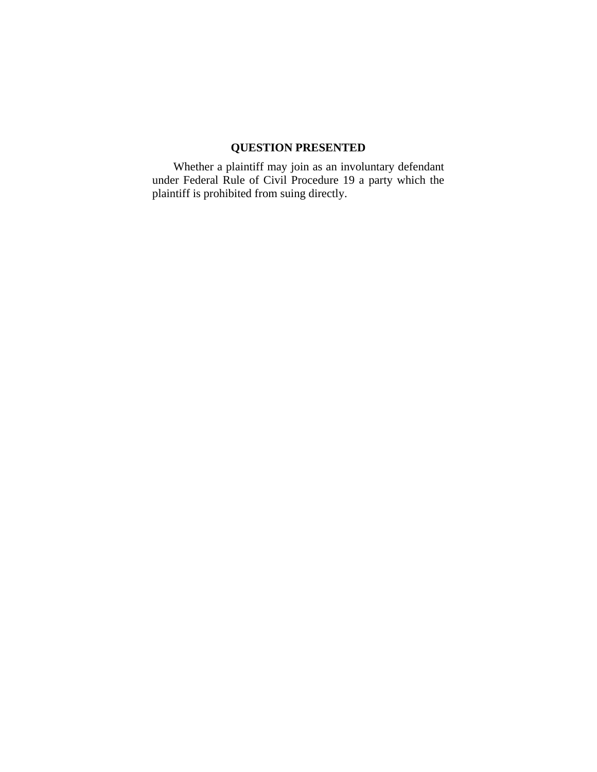# **QUESTION PRESENTED**

<span id="page-1-0"></span>Whether a plaintiff may join as an involuntary defendant under Federal Rule of Civil Procedure 19 a party which the plaintiff is prohibited from suing directly.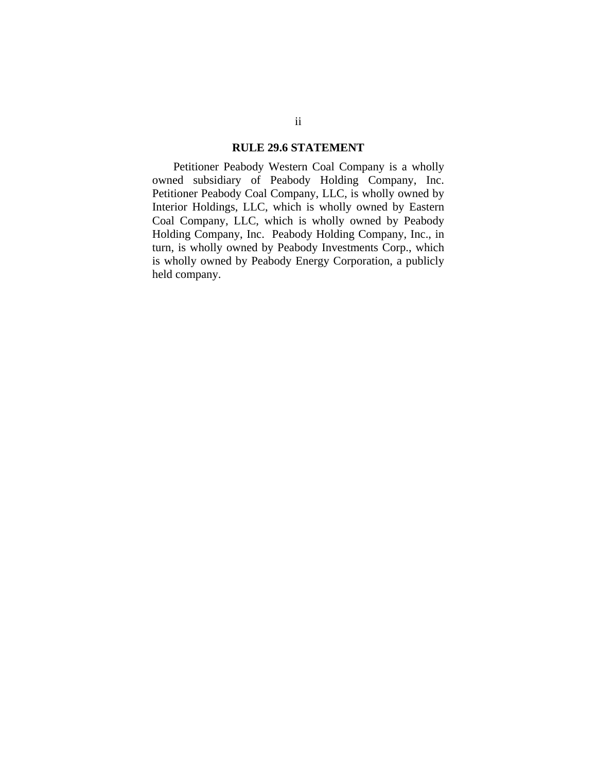#### **RULE 29.6 STATEMENT**

<span id="page-2-0"></span>Petitioner Peabody Western Coal Company is a wholly owned subsidiary of Peabody Holding Company, Inc. Petitioner Peabody Coal Company, LLC, is wholly owned by Interior Holdings, LLC, which is wholly owned by Eastern Coal Company, LLC, which is wholly owned by Peabody Holding Company, Inc. Peabody Holding Company, Inc., in turn, is wholly owned by Peabody Investments Corp., which is wholly owned by Peabody Energy Corporation, a publicly held company.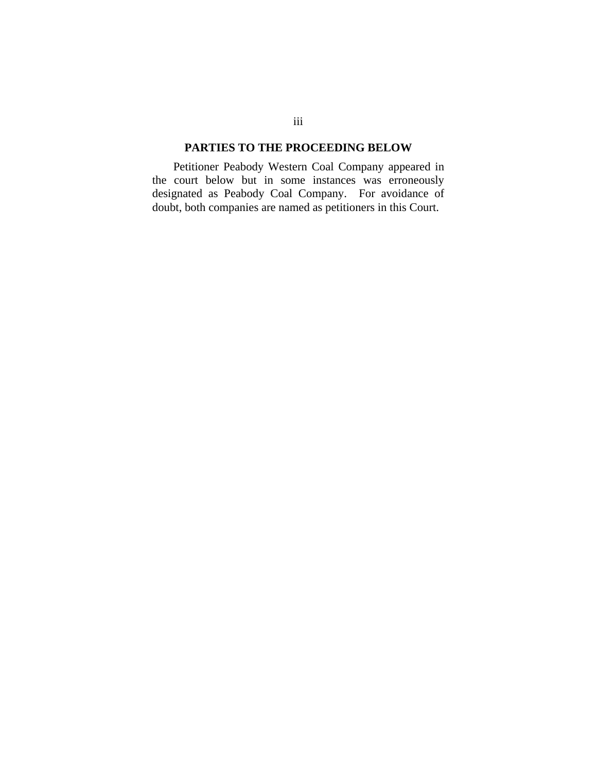## **PARTIES TO THE PROCEEDING BELOW**

<span id="page-3-0"></span>Petitioner Peabody Western Coal Company appeared in the court below but in some instances was erroneously designated as Peabody Coal Company. For avoidance of doubt, both companies are named as petitioners in this Court.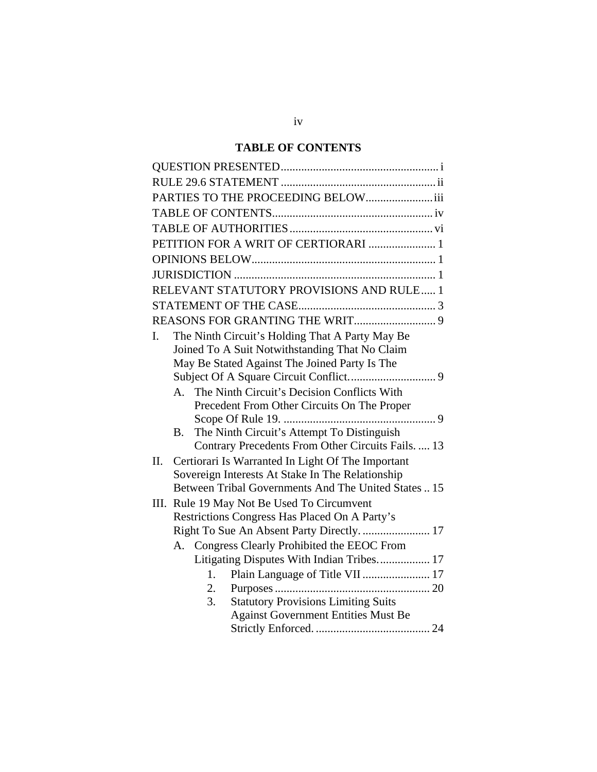# **TABLE OF CONTENTS**

<span id="page-4-0"></span>

| PARTIES TO THE PROCEEDING BELOWiii                       |
|----------------------------------------------------------|
|                                                          |
|                                                          |
| PETITION FOR A WRIT OF CERTIORARI  1                     |
|                                                          |
|                                                          |
| RELEVANT STATUTORY PROVISIONS AND RULE 1                 |
|                                                          |
|                                                          |
| The Ninth Circuit's Holding That A Party May Be<br>L.    |
| Joined To A Suit Notwithstanding That No Claim           |
| May Be Stated Against The Joined Party Is The            |
|                                                          |
| A. The Ninth Circuit's Decision Conflicts With           |
| Precedent From Other Circuits On The Proper              |
|                                                          |
| The Ninth Circuit's Attempt To Distinguish<br>B.         |
| Contrary Precedents From Other Circuits Fails.  13       |
| Certiorari Is Warranted In Light Of The Important<br>II. |
| Sovereign Interests At Stake In The Relationship         |
| Between Tribal Governments And The United States  15     |
| III. Rule 19 May Not Be Used To Circumvent               |
| Restrictions Congress Has Placed On A Party's            |
| Right To Sue An Absent Party Directly.  17               |
| A. Congress Clearly Prohibited the EEOC From             |
| Litigating Disputes With Indian Tribes 17                |
| Plain Language of Title VII  17<br>1.                    |
| 2.                                                       |
| <b>Statutory Provisions Limiting Suits</b><br>3.         |
| <b>Against Government Entities Must Be</b>               |
|                                                          |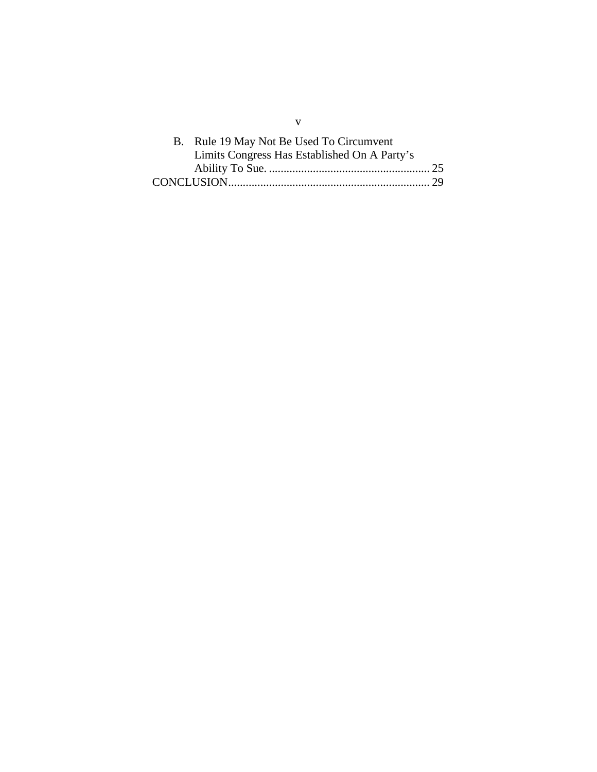| B. Rule 19 May Not Be Used To Circumvent     |  |
|----------------------------------------------|--|
| Limits Congress Has Established On A Party's |  |
|                                              |  |
|                                              |  |

v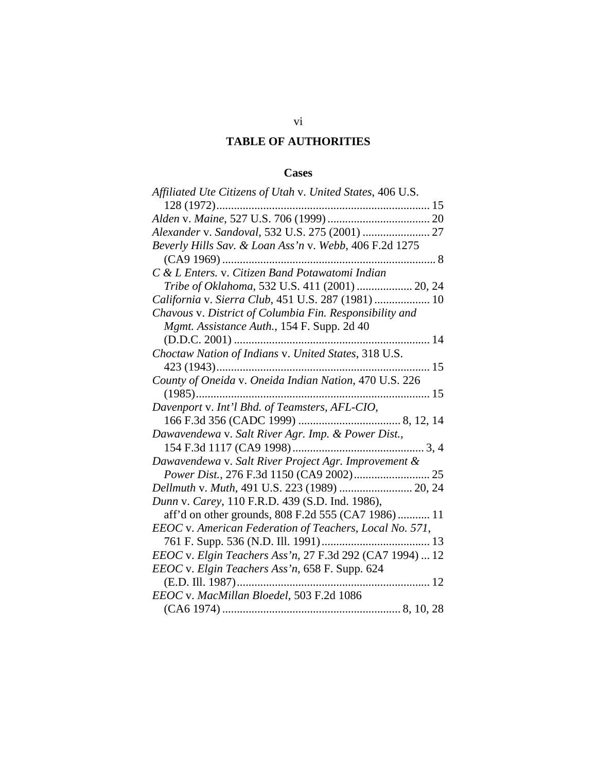# **TABLE OF AUTHORITIES**

## **Cases**

<span id="page-6-0"></span>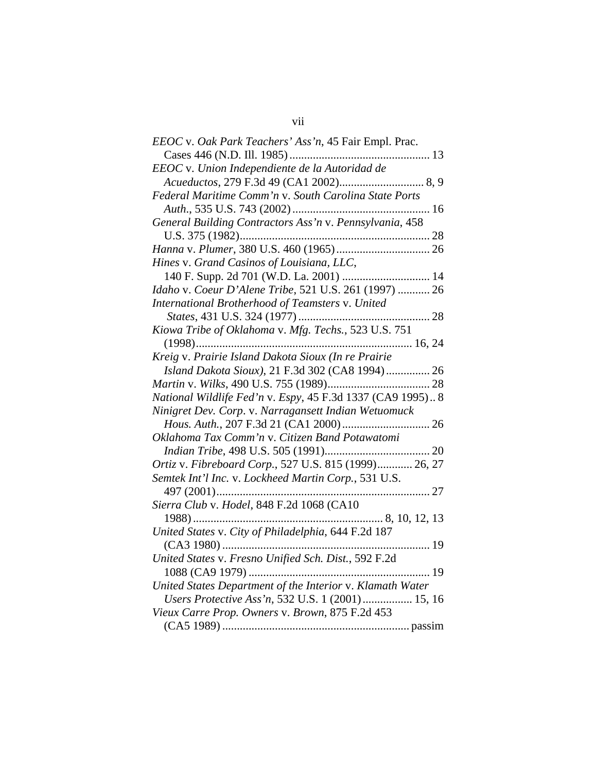| EEOC v. Oak Park Teachers' Ass'n, 45 Fair Empl. Prac.      |
|------------------------------------------------------------|
|                                                            |
| EEOC v. Union Independiente de la Autoridad de             |
|                                                            |
| Federal Maritime Comm'n v. South Carolina State Ports      |
|                                                            |
| General Building Contractors Ass'n v. Pennsylvania, 458    |
|                                                            |
|                                                            |
| Hines v. Grand Casinos of Louisiana, LLC,                  |
| 140 F. Supp. 2d 701 (W.D. La. 2001)  14                    |
| Idaho v. Coeur D'Alene Tribe, 521 U.S. 261 (1997)  26      |
| International Brotherhood of Teamsters v. United           |
|                                                            |
| Kiowa Tribe of Oklahoma v. Mfg. Techs., 523 U.S. 751       |
|                                                            |
| Kreig v. Prairie Island Dakota Sioux (In re Prairie        |
| Island Dakota Sioux), 21 F.3d 302 (CA8 1994) 26            |
|                                                            |
| National Wildlife Fed'n v. Espy, 45 F.3d 1337 (CA9 1995) 8 |
| Ninigret Dev. Corp. v. Narragansett Indian Wetuomuck       |
|                                                            |
| Oklahoma Tax Comm'n v. Citizen Band Potawatomi             |
|                                                            |
| Ortiz v. Fibreboard Corp., 527 U.S. 815 (1999) 26, 27      |
| Semtek Int'l Inc. v. Lockheed Martin Corp., 531 U.S.       |
|                                                            |
| Sierra Club v. Hodel, 848 F.2d 1068 (CA10                  |
|                                                            |
|                                                            |
|                                                            |
| United States v. Fresno Unified Sch. Dist., 592 F.2d       |
|                                                            |
| United States Department of the Interior v. Klamath Water  |
| Users Protective Ass'n, 532 U.S. 1 (2001) 15, 16           |
| Vieux Carre Prop. Owners v. Brown, 875 F.2d 453            |
|                                                            |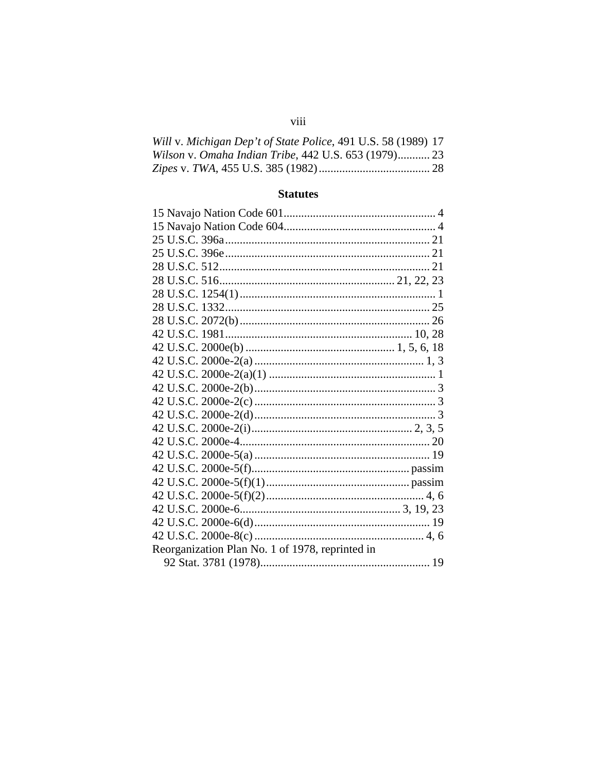| Will v. Michigan Dep't of State Police, 491 U.S. 58 (1989) 17 |  |
|---------------------------------------------------------------|--|
| Wilson v. Omaha Indian Tribe, 442 U.S. 653 (1979) 23          |  |
|                                                               |  |

# **Statutes**

| Reorganization Plan No. 1 of 1978, reprinted in |  |
|-------------------------------------------------|--|
|                                                 |  |
|                                                 |  |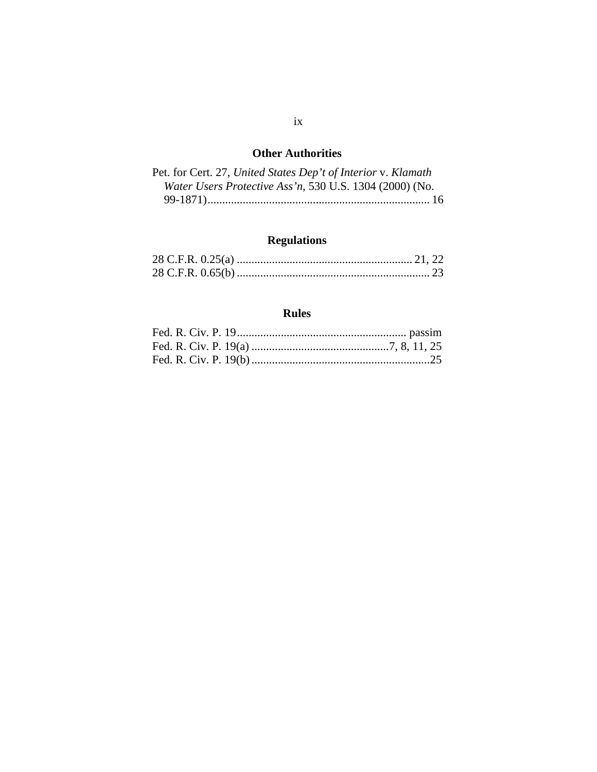# **Other Authorities**

| Pet. for Cert. 27, United States Dep't of Interior v. Klamath |
|---------------------------------------------------------------|
| Water Users Protective Ass'n, 530 U.S. 1304 (2000) (No.       |
|                                                               |

# **Regulations**

# **Rules**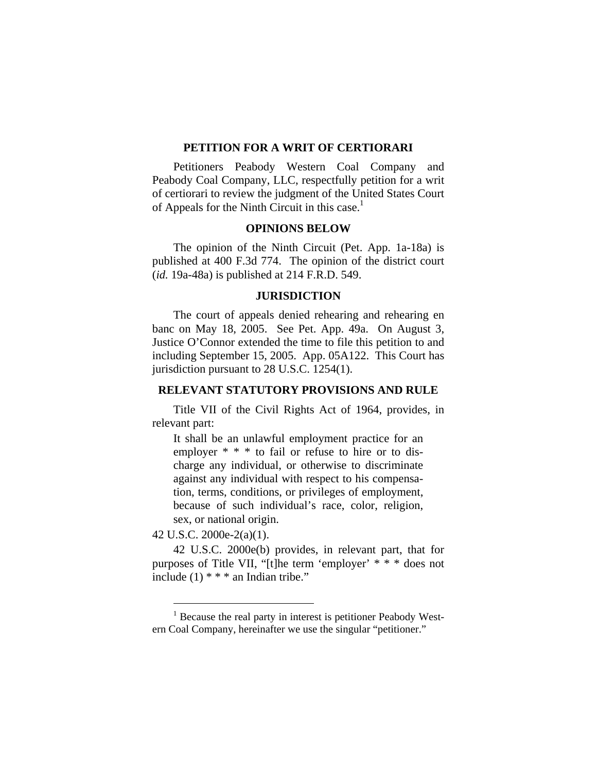#### **PETITION FOR A WRIT OF CERTIORARI**

<span id="page-10-0"></span>Petitioners Peabody Western Coal Company and Peabody Coal Company, LLC, respectfully petition for a writ of certiorari to review the judgment of the United States Court of Appeals for the Ninth Circuit in this case. $<sup>1</sup>$ </sup>

### **OPINIONS BELOW**

The opinion of the Ninth Circuit (Pet. App. 1a-18a) is published at 400 F.3d 774. The opinion of the district court (*id.* 19a-48a) is published at 214 F.R.D. 549.

#### **JURISDICTION**

The court of appeals denied rehearing and rehearing en banc on May 18, 2005. See Pet. App. 49a. On August 3, Justice O'Connor extended the time to file this petition to and including September 15, 2005. App. 05A122. This Court has jurisdiction pursuant to 28 U.S.C. 1254(1).

#### **RELEVANT STATUTORY PROVISIONS AND RULE**

Title VII of the Civil Rights Act of 1964, provides, in relevant part:

It shall be an unlawful employment practice for an employer  $* * *$  to fail or refuse to hire or to discharge any individual, or otherwise to discriminate against any individual with respect to his compensation, terms, conditions, or privileges of employment, because of such individual's race, color, religion, sex, or national origin.

42 U.S.C. 2000e-2(a)(1).

<span id="page-10-1"></span> $\overline{a}$ 

42 U.S.C. 2000e(b) provides, in relevant part, that for purposes of Title VII, "[t]he term 'employer' \* \* \* does not include  $(1)$  \* \* \* an Indian tribe."

<sup>&</sup>lt;sup>1</sup> Because the real party in interest is petitioner Peabody Western Coal Company, hereinafter we use the singular "petitioner."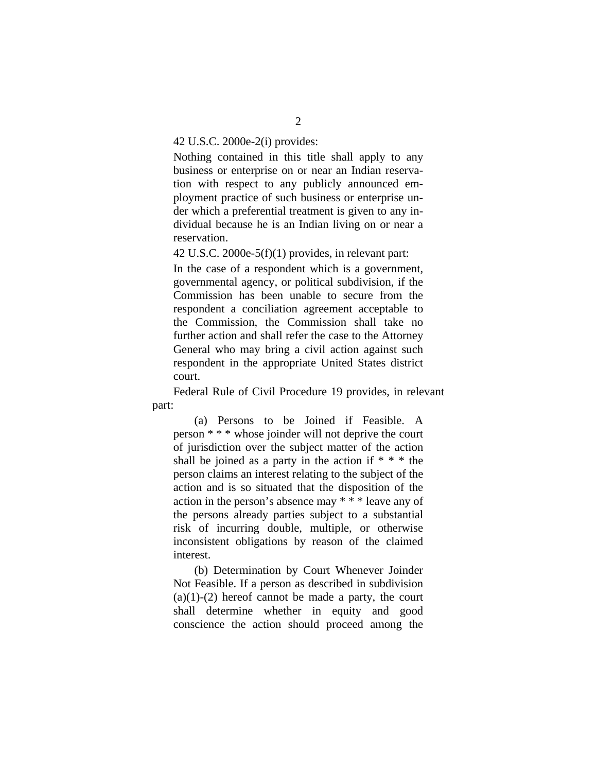#### 42 U.S.C. 2000e-2(i) provides:

Nothing contained in this title shall apply to any business or enterprise on or near an Indian reservation with respect to any publicly announced employment practice of such business or enterprise under which a preferential treatment is given to any individual because he is an Indian living on or near a reservation.

42 U.S.C. 2000e-5(f)(1) provides, in relevant part:

In the case of a respondent which is a government, governmental agency, or political subdivision, if the Commission has been unable to secure from the respondent a conciliation agreement acceptable to the Commission, the Commission shall take no further action and shall refer the case to the Attorney General who may bring a civil action against such respondent in the appropriate United States district court.

Federal Rule of Civil Procedure 19 provides, in relevant part:

(a) Persons to be Joined if Feasible. A person \* \* \* whose joinder will not deprive the court of jurisdiction over the subject matter of the action shall be joined as a party in the action if  $* * *$  the person claims an interest relating to the subject of the action and is so situated that the disposition of the action in the person's absence may \* \* \* leave any of the persons already parties subject to a substantial risk of incurring double, multiple, or otherwise inconsistent obligations by reason of the claimed interest.

(b) Determination by Court Whenever Joinder Not Feasible. If a person as described in subdivision  $(a)(1)-(2)$  hereof cannot be made a party, the court shall determine whether in equity and good conscience the action should proceed among the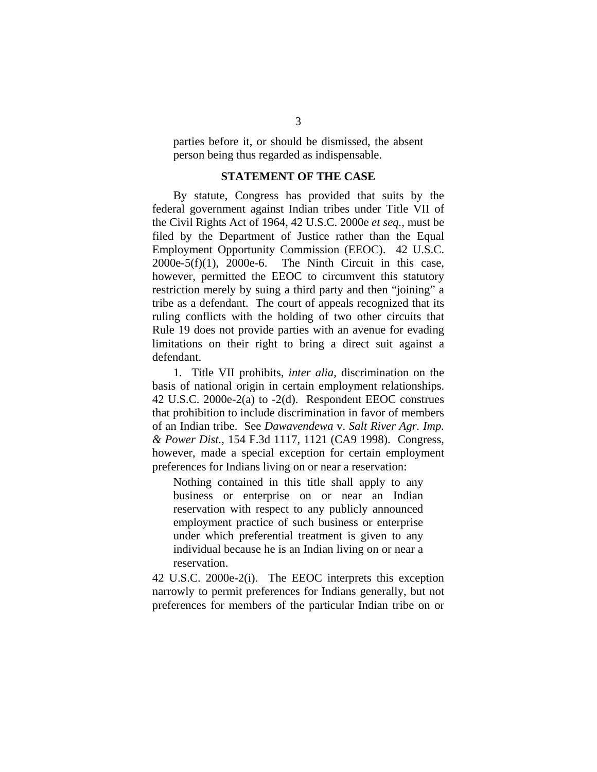<span id="page-12-0"></span>parties before it, or should be dismissed, the absent person being thus regarded as indispensable.

### **STATEMENT OF THE CASE**

By statute, Congress has provided that suits by the federal government against Indian tribes under Title VII of the Civil Rights Act of 1964, 42 U.S.C. 2000e *et seq.*, must be filed by the Department of Justice rather than the Equal Employment Opportunity Commission (EEOC). 42 U.S.C.  $2000e-5(f)(1)$ ,  $2000e-6$ . The Ninth Circuit in this case, however, permitted the EEOC to circumvent this statutory restriction merely by suing a third party and then "joining" a tribe as a defendant. The court of appeals recognized that its ruling conflicts with the holding of two other circuits that Rule 19 does not provide parties with an avenue for evading limitations on their right to bring a direct suit against a defendant.

1. Title VII prohibits, *inter alia*, discrimination on the basis of national origin in certain employment relationships. 42 U.S.C. 2000e-2(a) to -2(d). Respondent EEOC construes that prohibition to include discrimination in favor of members of an Indian tribe. See *Dawavendewa* v. *Salt River Agr. Imp. & Power Dist.*, 154 F.3d 1117, 1121 (CA9 1998). Congress, however, made a special exception for certain employment preferences for Indians living on or near a reservation:

Nothing contained in this title shall apply to any business or enterprise on or near an Indian reservation with respect to any publicly announced employment practice of such business or enterprise under which preferential treatment is given to any individual because he is an Indian living on or near a reservation.

42 U.S.C. 2000e-2(i). The EEOC interprets this exception narrowly to permit preferences for Indians generally, but not preferences for members of the particular Indian tribe on or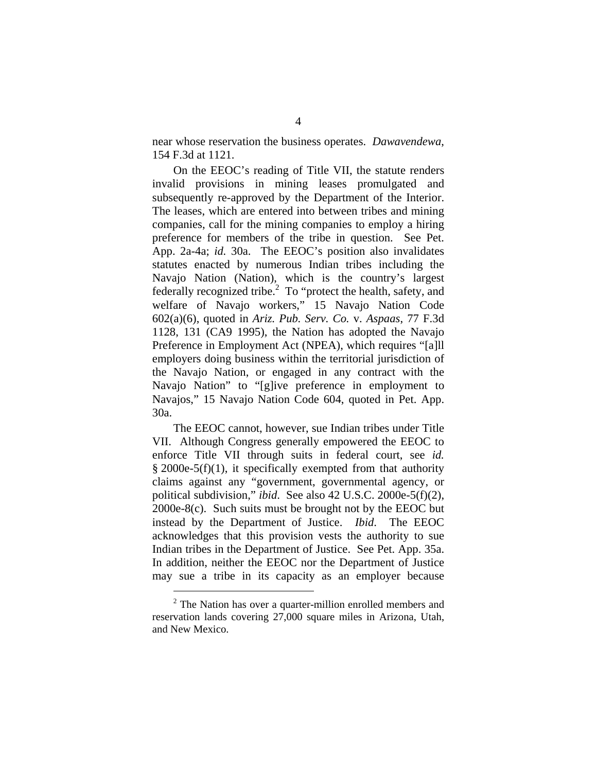near whose reservation the business operates. *Dawavendewa*, 154 F.3d at 1121.

On the EEOC's reading of Title VII, the statute renders invalid provisions in mining leases promulgated and subsequently re-approved by the Department of the Interior. The leases, which are entered into between tribes and mining companies, call for the mining companies to employ a hiring preference for members of the tribe in question. See Pet. App. 2a-4a; *id.* 30a. The EEOC's position also invalidates statutes enacted by numerous Indian tribes including the Navajo Nation (Nation), which is the country's largest federally recognized tribe. $^{2}$  $^{2}$  $^{2}$  To "protect the health, safety, and welfare of Navajo workers," 15 Navajo Nation Code 602(a)(6), quoted in *Ariz. Pub. Serv. Co.* v. *Aspaas*, 77 F.3d 1128, 131 (CA9 1995), the Nation has adopted the Navajo Preference in Employment Act (NPEA), which requires "[a]ll employers doing business within the territorial jurisdiction of the Navajo Nation, or engaged in any contract with the Navajo Nation" to "[g]ive preference in employment to Navajos," 15 Navajo Nation Code 604, quoted in Pet. App. 30a.

The EEOC cannot, however, sue Indian tribes under Title VII. Although Congress generally empowered the EEOC to enforce Title VII through suits in federal court, see *id.*  $§$  2000e-5(f)(1), it specifically exempted from that authority claims against any "government, governmental agency, or political subdivision," *ibid*. See also 42 U.S.C. 2000e-5(f)(2), 2000e-8(c). Such suits must be brought not by the EEOC but instead by the Department of Justice. *Ibid*. The EEOC acknowledges that this provision vests the authority to sue Indian tribes in the Department of Justice. See Pet. App. 35a. In addition, neither the EEOC nor the Department of Justice may sue a tribe in its capacity as an employer because

<span id="page-13-0"></span> $2^2$  The Nation has over a quarter-million enrolled members and reservation lands covering 27,000 square miles in Arizona, Utah, and New Mexico.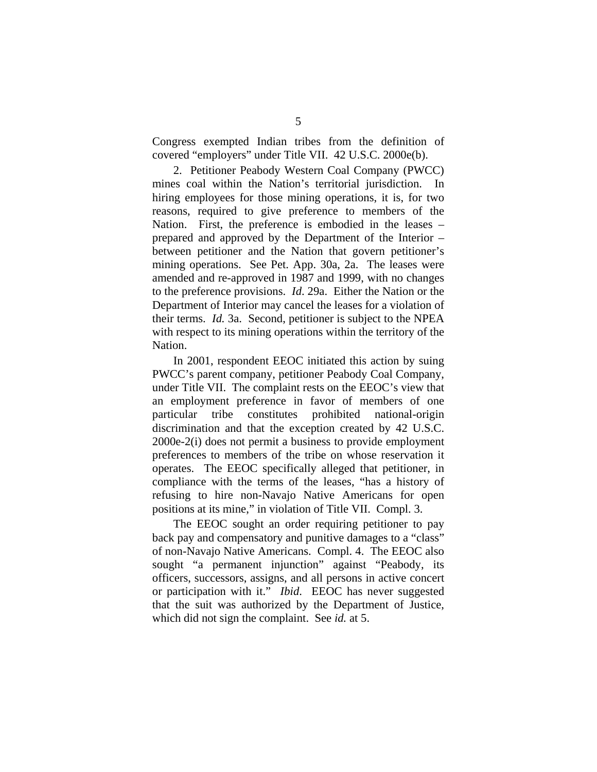Congress exempted Indian tribes from the definition of covered "employers" under Title VII. 42 U.S.C. 2000e(b).

2. Petitioner Peabody Western Coal Company (PWCC) mines coal within the Nation's territorial jurisdiction. In hiring employees for those mining operations, it is, for two reasons, required to give preference to members of the Nation. First, the preference is embodied in the leases – prepared and approved by the Department of the Interior – between petitioner and the Nation that govern petitioner's mining operations. See Pet. App. 30a, 2a. The leases were amended and re-approved in 1987 and 1999, with no changes to the preference provisions. *Id*. 29a. Either the Nation or the Department of Interior may cancel the leases for a violation of their terms. *Id.* 3a. Second, petitioner is subject to the NPEA with respect to its mining operations within the territory of the Nation.

In 2001, respondent EEOC initiated this action by suing PWCC's parent company, petitioner Peabody Coal Company, under Title VII. The complaint rests on the EEOC's view that an employment preference in favor of members of one particular tribe constitutes prohibited national-origin discrimination and that the exception created by 42 U.S.C. 2000e-2(i) does not permit a business to provide employment preferences to members of the tribe on whose reservation it operates. The EEOC specifically alleged that petitioner, in compliance with the terms of the leases, "has a history of refusing to hire non-Navajo Native Americans for open positions at its mine," in violation of Title VII. Compl. 3.

The EEOC sought an order requiring petitioner to pay back pay and compensatory and punitive damages to a "class" of non-Navajo Native Americans. Compl. 4. The EEOC also sought "a permanent injunction" against "Peabody, its officers, successors, assigns, and all persons in active concert or participation with it." *Ibid*. EEOC has never suggested that the suit was authorized by the Department of Justice, which did not sign the complaint. See *id.* at 5.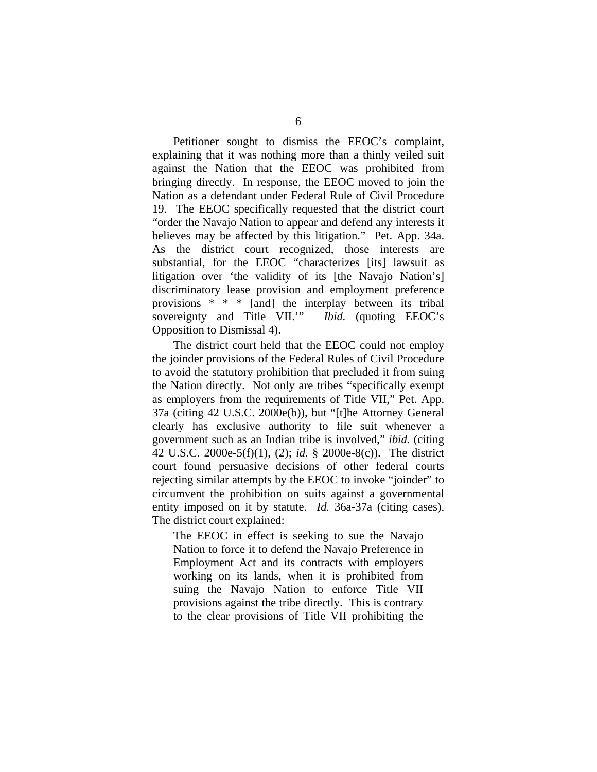Petitioner sought to dismiss the EEOC's complaint, explaining that it was nothing more than a thinly veiled suit against the Nation that the EEOC was prohibited from bringing directly. In response, the EEOC moved to join the Nation as a defendant under Federal Rule of Civil Procedure 19. The EEOC specifically requested that the district court "order the Navajo Nation to appear and defend any interests it believes may be affected by this litigation." Pet. App. 34a. As the district court recognized, those interests are substantial, for the EEOC "characterizes [its] lawsuit as litigation over 'the validity of its [the Navajo Nation's] discriminatory lease provision and employment preference provisions \* \* \* [and] the interplay between its tribal sovereignty and Title VII.'" *Ibid.* (quoting EEOC's Opposition to Dismissal 4).

The district court held that the EEOC could not employ the joinder provisions of the Federal Rules of Civil Procedure to avoid the statutory prohibition that precluded it from suing the Nation directly. Not only are tribes "specifically exempt as employers from the requirements of Title VII," Pet. App. 37a (citing 42 U.S.C. 2000e(b)), but "[t]he Attorney General clearly has exclusive authority to file suit whenever a government such as an Indian tribe is involved," *ibid.* (citing 42 U.S.C. 2000e-5(f)(1), (2); *id.* § 2000e-8(c)). The district court found persuasive decisions of other federal courts rejecting similar attempts by the EEOC to invoke "joinder" to circumvent the prohibition on suits against a governmental entity imposed on it by statute. *Id.* 36a-37a (citing cases). The district court explained:

The EEOC in effect is seeking to sue the Navajo Nation to force it to defend the Navajo Preference in Employment Act and its contracts with employers working on its lands, when it is prohibited from suing the Navajo Nation to enforce Title VII provisions against the tribe directly. This is contrary to the clear provisions of Title VII prohibiting the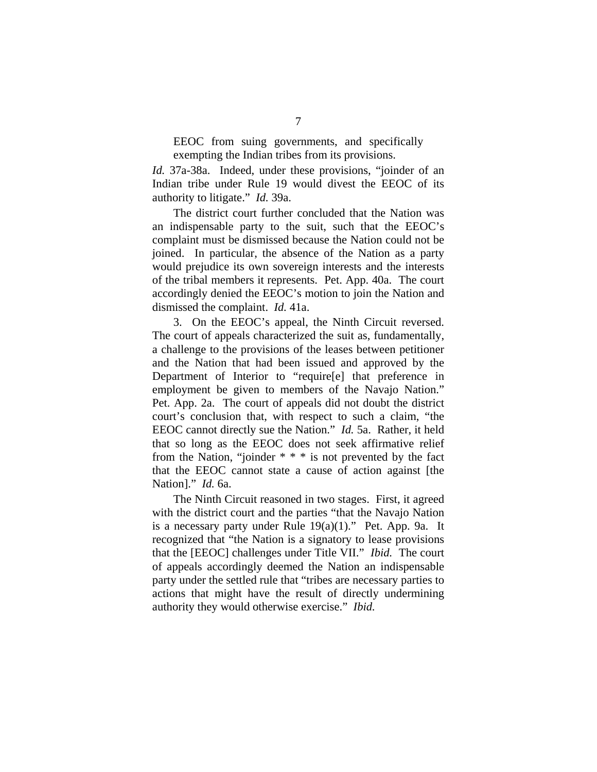EEOC from suing governments, and specifically exempting the Indian tribes from its provisions.

*Id.* 37a-38a. Indeed, under these provisions, "joinder of an Indian tribe under Rule 19 would divest the EEOC of its authority to litigate." *Id.* 39a.

The district court further concluded that the Nation was an indispensable party to the suit, such that the EEOC's complaint must be dismissed because the Nation could not be joined. In particular, the absence of the Nation as a party would prejudice its own sovereign interests and the interests of the tribal members it represents. Pet. App. 40a. The court accordingly denied the EEOC's motion to join the Nation and dismissed the complaint. *Id.* 41a.

3. On the EEOC's appeal, the Ninth Circuit reversed. The court of appeals characterized the suit as, fundamentally, a challenge to the provisions of the leases between petitioner and the Nation that had been issued and approved by the Department of Interior to "require[e] that preference in employment be given to members of the Navajo Nation." Pet. App. 2a. The court of appeals did not doubt the district court's conclusion that, with respect to such a claim, "the EEOC cannot directly sue the Nation." *Id.* 5a. Rather, it held that so long as the EEOC does not seek affirmative relief from the Nation, "joinder \* \* \* is not prevented by the fact that the EEOC cannot state a cause of action against [the Nation]." *Id.* 6a.

The Ninth Circuit reasoned in two stages. First, it agreed with the district court and the parties "that the Navajo Nation is a necessary party under Rule  $19(a)(1)$ ." Pet. App. 9a. It recognized that "the Nation is a signatory to lease provisions that the [EEOC] challenges under Title VII." *Ibid.* The court of appeals accordingly deemed the Nation an indispensable party under the settled rule that "tribes are necessary parties to actions that might have the result of directly undermining authority they would otherwise exercise." *Ibid.*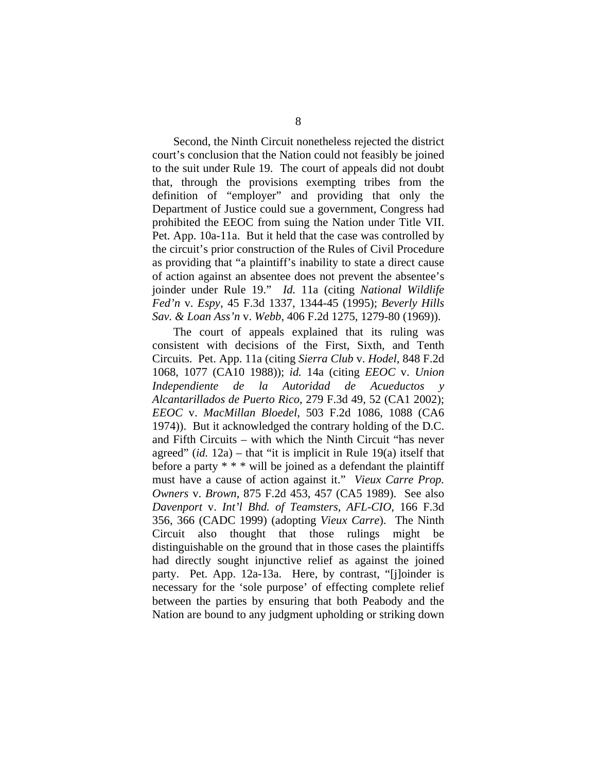Second, the Ninth Circuit nonetheless rejected the district court's conclusion that the Nation could not feasibly be joined to the suit under Rule 19. The court of appeals did not doubt that, through the provisions exempting tribes from the definition of "employer" and providing that only the Department of Justice could sue a government, Congress had prohibited the EEOC from suing the Nation under Title VII. Pet. App. 10a-11a. But it held that the case was controlled by the circuit's prior construction of the Rules of Civil Procedure as providing that "a plaintiff's inability to state a direct cause of action against an absentee does not prevent the absentee's joinder under Rule 19." *Id.* 11a (citing *National Wildlife Fed'n* v. *Espy*, 45 F.3d 1337, 1344-45 (1995); *Beverly Hills Sav. & Loan Ass'n* v. *Webb*, 406 F.2d 1275, 1279-80 (1969)).

The court of appeals explained that its ruling was consistent with decisions of the First, Sixth, and Tenth Circuits. Pet. App. 11a (citing *Sierra Club* v. *Hodel*, 848 F.2d 1068, 1077 (CA10 1988)); *id.* 14a (citing *EEOC* v. *Union Independiente de la Autoridad de Acueductos y Alcantarillados de Puerto Rico*, 279 F.3d 49, 52 (CA1 2002); *EEOC* v. *MacMillan Bloedel*, 503 F.2d 1086, 1088 (CA6 1974)). But it acknowledged the contrary holding of the D.C. and Fifth Circuits – with which the Ninth Circuit "has never agreed" (*id.* 12a) – that "it is implicit in Rule 19(a) itself that before a party  $* * *$  will be joined as a defendant the plaintiff must have a cause of action against it." *Vieux Carre Prop. Owners* v. *Brown*, 875 F.2d 453, 457 (CA5 1989). See also *Davenport* v. *Int'l Bhd. of Teamsters, AFL-CIO*, 166 F.3d 356, 366 (CADC 1999) (adopting *Vieux Carre*). The Ninth Circuit also thought that those rulings might be distinguishable on the ground that in those cases the plaintiffs had directly sought injunctive relief as against the joined party. Pet. App. 12a-13a. Here, by contrast, "[j]oinder is necessary for the 'sole purpose' of effecting complete relief between the parties by ensuring that both Peabody and the Nation are bound to any judgment upholding or striking down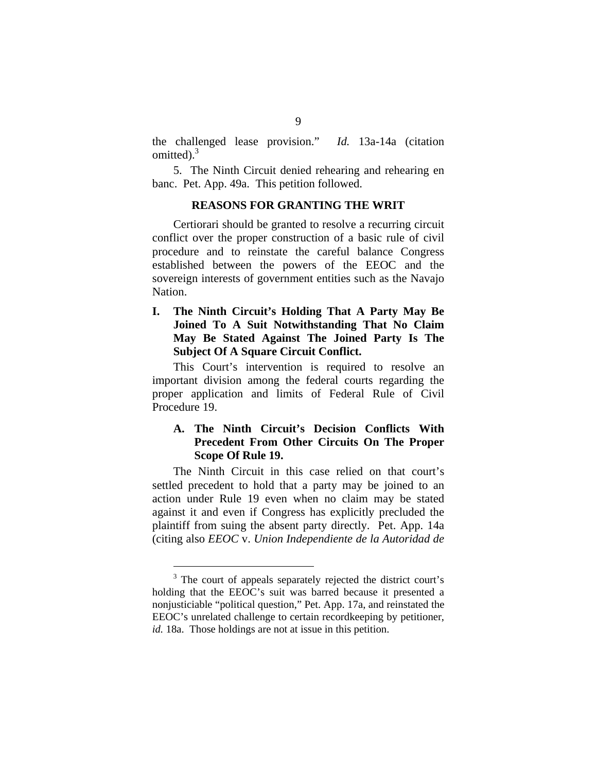<span id="page-18-0"></span>the challenged lease provision." *Id.* 13a-14a (citation omitted). $3$ 

5. The Ninth Circuit denied rehearing and rehearing en banc. Pet. App. 49a. This petition followed.

### **REASONS FOR GRANTING THE WRIT**

Certiorari should be granted to resolve a recurring circuit conflict over the proper construction of a basic rule of civil procedure and to reinstate the careful balance Congress established between the powers of the EEOC and the sovereign interests of government entities such as the Navajo Nation.

**I. The Ninth Circuit's Holding That A Party May Be Joined To A Suit Notwithstanding That No Claim May Be Stated Against The Joined Party Is The Subject Of A Square Circuit Conflict.** 

This Court's intervention is required to resolve an important division among the federal courts regarding the proper application and limits of Federal Rule of Civil Procedure 19.

## **A. The Ninth Circuit's Decision Conflicts With Precedent From Other Circuits On The Proper Scope Of Rule 19.**

The Ninth Circuit in this case relied on that court's settled precedent to hold that a party may be joined to an action under Rule 19 even when no claim may be stated against it and even if Congress has explicitly precluded the plaintiff from suing the absent party directly. Pet. App. 14a (citing also *EEOC* v. *Union Independiente de la Autoridad de* 

<span id="page-18-1"></span><sup>&</sup>lt;sup>3</sup> The court of appeals separately rejected the district court's holding that the EEOC's suit was barred because it presented a nonjusticiable "political question," Pet. App. 17a, and reinstated the EEOC's unrelated challenge to certain recordkeeping by petitioner, *id.* 18a. Those holdings are not at issue in this petition.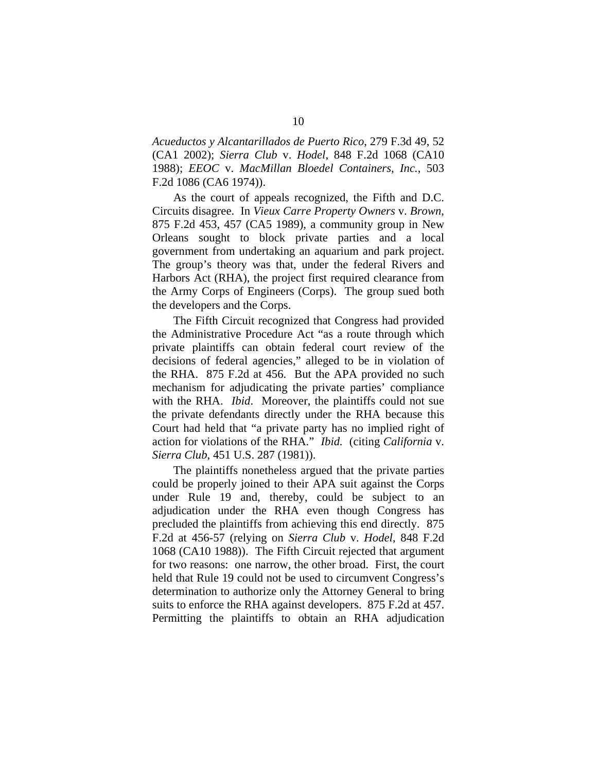*Acueductos y Alcantarillados de Puerto Rico*, 279 F.3d 49, 52 (CA1 2002); *Sierra Club* v. *Hodel*, 848 F.2d 1068 (CA10 1988); *EEOC* v. *MacMillan Bloedel Containers, Inc.*, 503 F.2d 1086 (CA6 1974)).

As the court of appeals recognized, the Fifth and D.C. Circuits disagree. In *Vieux Carre Property Owners* v. *Brown*, 875 F.2d 453, 457 (CA5 1989), a community group in New Orleans sought to block private parties and a local government from undertaking an aquarium and park project. The group's theory was that, under the federal Rivers and Harbors Act (RHA), the project first required clearance from the Army Corps of Engineers (Corps). The group sued both the developers and the Corps.

The Fifth Circuit recognized that Congress had provided the Administrative Procedure Act "as a route through which private plaintiffs can obtain federal court review of the decisions of federal agencies," alleged to be in violation of the RHA. 875 F.2d at 456. But the APA provided no such mechanism for adjudicating the private parties' compliance with the RHA. *Ibid*. Moreover, the plaintiffs could not sue the private defendants directly under the RHA because this Court had held that "a private party has no implied right of action for violations of the RHA." *Ibid.* (citing *California* v. *Sierra Club*, 451 U.S. 287 (1981)).

The plaintiffs nonetheless argued that the private parties could be properly joined to their APA suit against the Corps under Rule 19 and, thereby, could be subject to an adjudication under the RHA even though Congress has precluded the plaintiffs from achieving this end directly. 875 F.2d at 456-57 (relying on *Sierra Club* v. *Hodel*, 848 F.2d 1068 (CA10 1988)). The Fifth Circuit rejected that argument for two reasons: one narrow, the other broad. First, the court held that Rule 19 could not be used to circumvent Congress's determination to authorize only the Attorney General to bring suits to enforce the RHA against developers. 875 F.2d at 457. Permitting the plaintiffs to obtain an RHA adjudication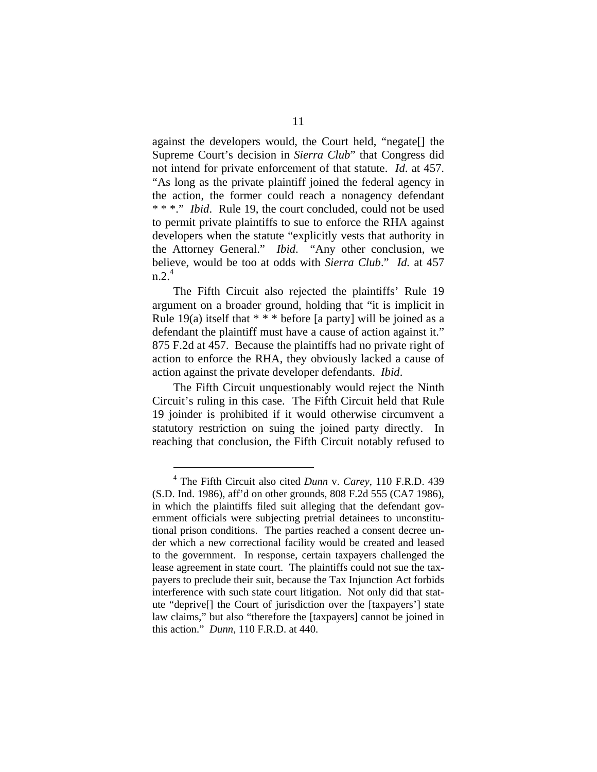against the developers would, the Court held, "negate[] the Supreme Court's decision in *Sierra Club*" that Congress did not intend for private enforcement of that statute. *Id*. at 457. "As long as the private plaintiff joined the federal agency in the action, the former could reach a nonagency defendant \* \* \*." *Ibid*. Rule 19, the court concluded, could not be used to permit private plaintiffs to sue to enforce the RHA against developers when the statute "explicitly vests that authority in the Attorney General." *Ibid*. "Any other conclusion, we believe, would be too at odds with *Sierra Club*." *Id.* at 457  $n.2.<sup>4</sup>$ 

The Fifth Circuit also rejected the plaintiffs' Rule 19 argument on a broader ground, holding that "it is implicit in Rule 19(a) itself that  $* * *$  before [a party] will be joined as a defendant the plaintiff must have a cause of action against it." 875 F.2d at 457. Because the plaintiffs had no private right of action to enforce the RHA, they obviously lacked a cause of action against the private developer defendants. *Ibid*.

The Fifth Circuit unquestionably would reject the Ninth Circuit's ruling in this case. The Fifth Circuit held that Rule 19 joinder is prohibited if it would otherwise circumvent a statutory restriction on suing the joined party directly. In reaching that conclusion, the Fifth Circuit notably refused to

<span id="page-20-0"></span><sup>4</sup> The Fifth Circuit also cited *Dunn* v. *Carey*, 110 F.R.D. 439 (S.D. Ind. 1986), aff'd on other grounds, 808 F.2d 555 (CA7 1986), in which the plaintiffs filed suit alleging that the defendant government officials were subjecting pretrial detainees to unconstitutional prison conditions. The parties reached a consent decree under which a new correctional facility would be created and leased to the government. In response, certain taxpayers challenged the lease agreement in state court. The plaintiffs could not sue the taxpayers to preclude their suit, because the Tax Injunction Act forbids interference with such state court litigation. Not only did that statute "deprive[] the Court of jurisdiction over the [taxpayers'] state law claims," but also "therefore the [taxpayers] cannot be joined in this action." *Dunn*, 110 F.R.D. at 440.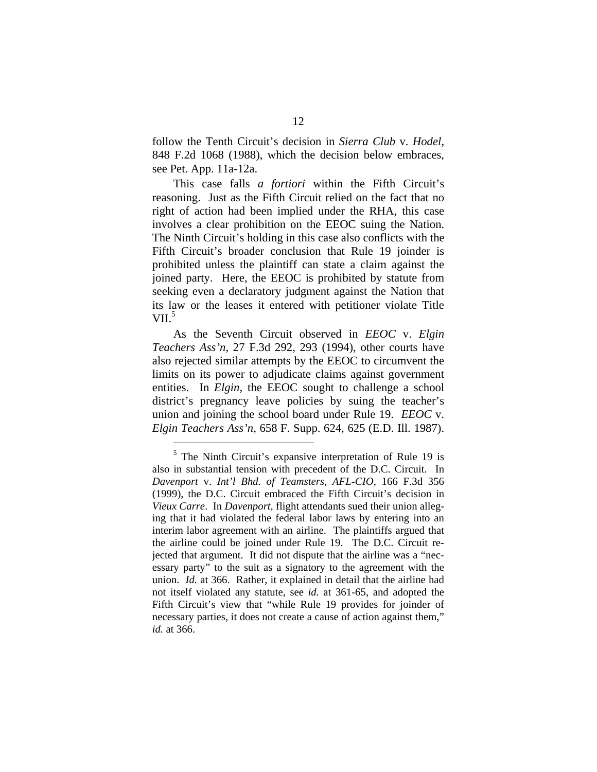follow the Tenth Circuit's decision in *Sierra Club* v. *Hodel*, 848 F.2d 1068 (1988), which the decision below embraces, see Pet. App. 11a-12a.

This case falls *a fortiori* within the Fifth Circuit's reasoning. Just as the Fifth Circuit relied on the fact that no right of action had been implied under the RHA, this case involves a clear prohibition on the EEOC suing the Nation. The Ninth Circuit's holding in this case also conflicts with the Fifth Circuit's broader conclusion that Rule 19 joinder is prohibited unless the plaintiff can state a claim against the joined party. Here, the EEOC is prohibited by statute from seeking even a declaratory judgment against the Nation that its law or the leases it entered with petitioner violate Title VII. $5$ 

As the Seventh Circuit observed in *EEOC* v. *Elgin Teachers Ass'n*, 27 F.3d 292, 293 (1994), other courts have also rejected similar attempts by the EEOC to circumvent the limits on its power to adjudicate claims against government entities. In *Elgin*, the EEOC sought to challenge a school district's pregnancy leave policies by suing the teacher's union and joining the school board under Rule 19. *EEOC* v. *Elgin Teachers Ass'n*, 658 F. Supp. 624, 625 (E.D. Ill. 1987).

<span id="page-21-0"></span><sup>&</sup>lt;sup>5</sup> The Ninth Circuit's expansive interpretation of Rule 19 is also in substantial tension with precedent of the D.C. Circuit. In *Davenport* v. *Int'l Bhd. of Teamsters, AFL-CIO*, 166 F.3d 356 (1999), the D.C. Circuit embraced the Fifth Circuit's decision in *Vieux Carre*. In *Davenport*, flight attendants sued their union alleging that it had violated the federal labor laws by entering into an interim labor agreement with an airline. The plaintiffs argued that the airline could be joined under Rule 19. The D.C. Circuit rejected that argument. It did not dispute that the airline was a "necessary party" to the suit as a signatory to the agreement with the union. *Id.* at 366. Rather, it explained in detail that the airline had not itself violated any statute, see *id.* at 361-65, and adopted the Fifth Circuit's view that "while Rule 19 provides for joinder of necessary parties, it does not create a cause of action against them," *id.* at 366.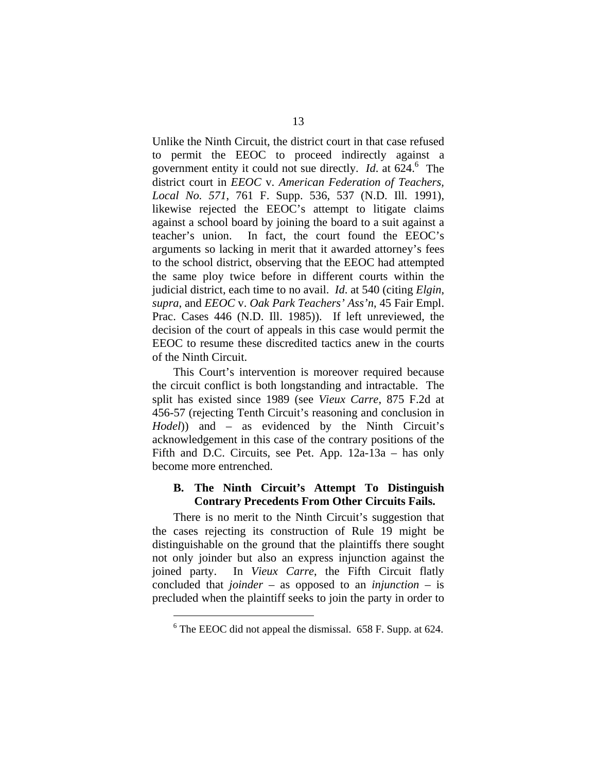<span id="page-22-0"></span>Unlike the Ninth Circuit, the district court in that case refused to permit the EEOC to proceed indirectly against a government entity it could not sue directly. *Id.* at 624.<sup>6</sup> The district court in *EEOC* v. *American Federation of Teachers, Local No. 571*, 761 F. Supp. 536, 537 (N.D. Ill. 1991), likewise rejected the EEOC's attempt to litigate claims against a school board by joining the board to a suit against a teacher's union. In fact, the court found the EEOC's arguments so lacking in merit that it awarded attorney's fees to the school district, observing that the EEOC had attempted the same ploy twice before in different courts within the judicial district, each time to no avail. *Id*. at 540 (citing *Elgin*, *supra*, and *EEOC* v. *Oak Park Teachers' Ass'n*, 45 Fair Empl. Prac. Cases 446 (N.D. Ill. 1985)). If left unreviewed, the decision of the court of appeals in this case would permit the EEOC to resume these discredited tactics anew in the courts of the Ninth Circuit.

This Court's intervention is moreover required because the circuit conflict is both longstanding and intractable. The split has existed since 1989 (see *Vieux Carre*, 875 F.2d at 456-57 (rejecting Tenth Circuit's reasoning and conclusion in *Hodel*)) and – as evidenced by the Ninth Circuit's acknowledgement in this case of the contrary positions of the Fifth and D.C. Circuits, see Pet. App. 12a-13a – has only become more entrenched.

## **B. The Ninth Circuit's Attempt To Distinguish Contrary Precedents From Other Circuits Fails.**

There is no merit to the Ninth Circuit's suggestion that the cases rejecting its construction of Rule 19 might be distinguishable on the ground that the plaintiffs there sought not only joinder but also an express injunction against the joined party. In *Vieux Carre*, the Fifth Circuit flatly concluded that *joinder* – as opposed to an *injunction* – is precluded when the plaintiff seeks to join the party in order to

<span id="page-22-1"></span> $6$  The EEOC did not appeal the dismissal. 658 F. Supp. at 624.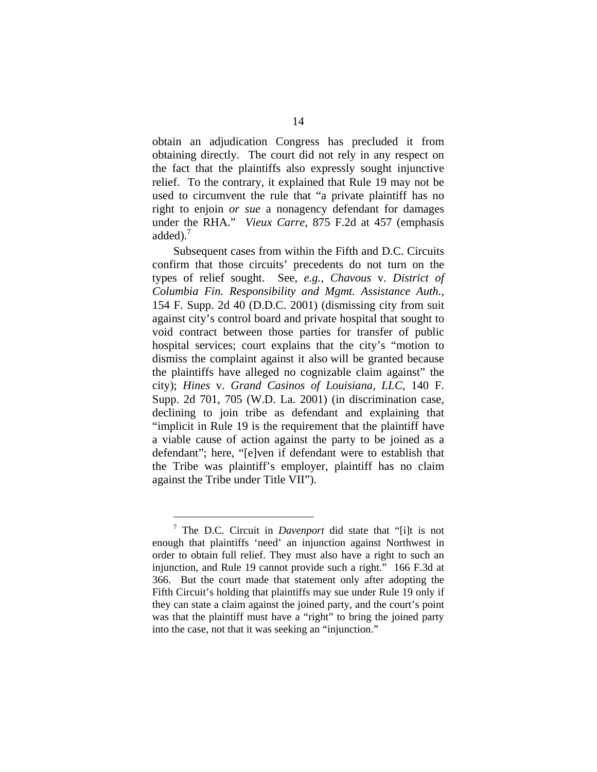obtain an adjudication Congress has precluded it from obtaining directly. The court did not rely in any respect on the fact that the plaintiffs also expressly sought injunctive relief. To the contrary, it explained that Rule 19 may not be used to circumvent the rule that "a private plaintiff has no right to enjoin *or sue* a nonagency defendant for damages under the RHA." *Vieux Carre*, 875 F.2d at 457 (emphasis added). $<sup>7</sup>$  $<sup>7</sup>$  $<sup>7</sup>$ </sup>

Subsequent cases from within the Fifth and D.C. Circuits confirm that those circuits' precedents do not turn on the types of relief sought. See, *e.g.*, *Chavous* v. *District of Columbia Fin. Responsibility and Mgmt. Assistance Auth.*, 154 F. Supp. 2d 40 (D.D.C. 2001) (dismissing city from suit against city's control board and private hospital that sought to void contract between those parties for transfer of public hospital services; court explains that the city's "motion to dismiss the complaint against it also will be granted because the plaintiffs have alleged no cognizable claim against" the city); *Hines* v. *Grand Casinos of Louisiana, LLC*, 140 F. Supp. 2d 701, 705 (W.D. La. 2001) (in discrimination case, declining to join tribe as defendant and explaining that "implicit in Rule 19 is the requirement that the plaintiff have a viable cause of action against the party to be joined as a defendant"; here, "[e]ven if defendant were to establish that the Tribe was plaintiff's employer, plaintiff has no claim against the Tribe under Title VII").

<span id="page-23-0"></span><sup>7</sup> The D.C. Circuit in *Davenport* did state that "[i]t is not enough that plaintiffs 'need' an injunction against Northwest in order to obtain full relief. They must also have a right to such an injunction, and Rule 19 cannot provide such a right." 166 F.3d at 366. But the court made that statement only after adopting the Fifth Circuit's holding that plaintiffs may sue under Rule 19 only if they can state a claim against the joined party, and the court's point was that the plaintiff must have a "right" to bring the joined party into the case, not that it was seeking an "injunction."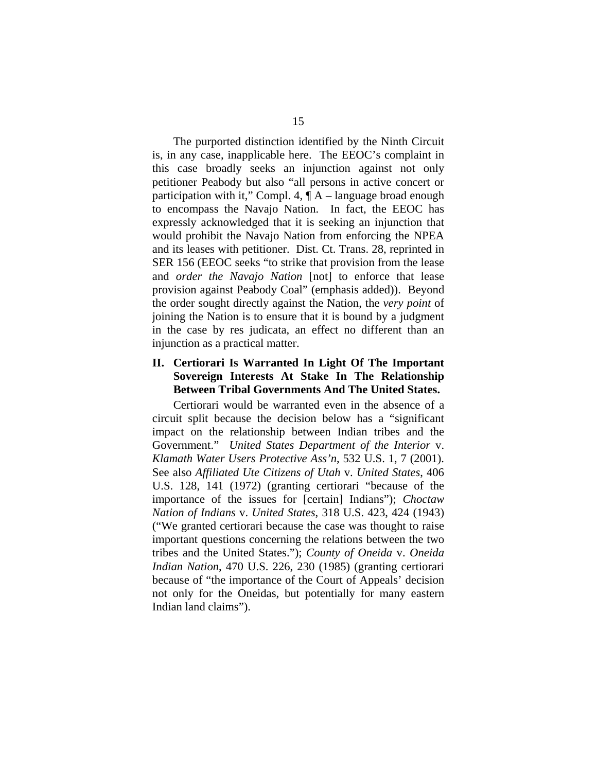<span id="page-24-0"></span>The purported distinction identified by the Ninth Circuit is, in any case, inapplicable here. The EEOC's complaint in this case broadly seeks an injunction against not only petitioner Peabody but also "all persons in active concert or participation with it," Compl. 4,  $\P A$  – language broad enough to encompass the Navajo Nation. In fact, the EEOC has expressly acknowledged that it is seeking an injunction that would prohibit the Navajo Nation from enforcing the NPEA and its leases with petitioner. Dist. Ct. Trans. 28, reprinted in SER 156 (EEOC seeks "to strike that provision from the lease and *order the Navajo Nation* [not] to enforce that lease provision against Peabody Coal" (emphasis added)). Beyond the order sought directly against the Nation, the *very point* of joining the Nation is to ensure that it is bound by a judgment in the case by res judicata, an effect no different than an injunction as a practical matter.

### **II. Certiorari Is Warranted In Light Of The Important Sovereign Interests At Stake In The Relationship Between Tribal Governments And The United States.**

Certiorari would be warranted even in the absence of a circuit split because the decision below has a "significant impact on the relationship between Indian tribes and the Government." *United States Department of the Interior* v. *Klamath Water Users Protective Ass'n*, 532 U.S. 1, 7 (2001). See also *Affiliated Ute Citizens of Utah* v. *United States*, 406 U.S. 128, 141 (1972) (granting certiorari "because of the importance of the issues for [certain] Indians"); *Choctaw Nation of Indians* v. *United States*, 318 U.S. 423, 424 (1943) ("We granted certiorari because the case was thought to raise important questions concerning the relations between the two tribes and the United States."); *County of Oneida* v. *Oneida Indian Nation*, 470 U.S. 226, 230 (1985) (granting certiorari because of "the importance of the Court of Appeals' decision not only for the Oneidas, but potentially for many eastern Indian land claims").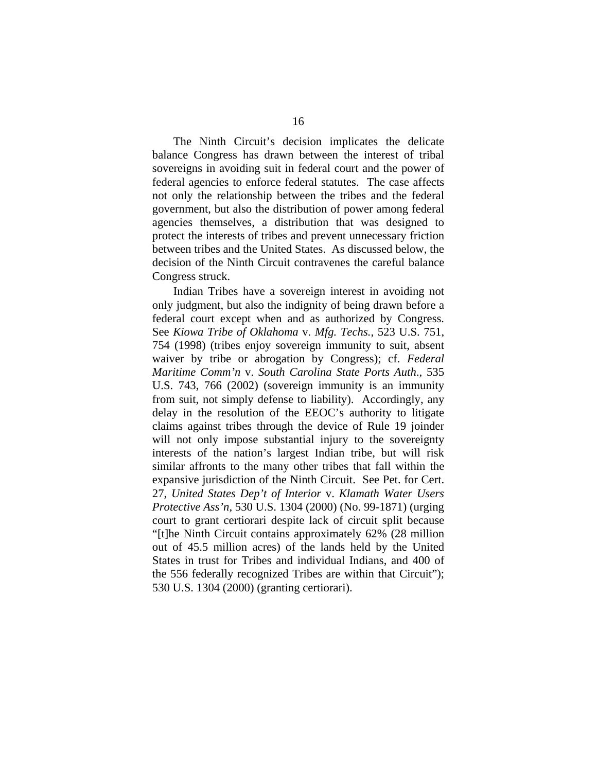The Ninth Circuit's decision implicates the delicate balance Congress has drawn between the interest of tribal sovereigns in avoiding suit in federal court and the power of federal agencies to enforce federal statutes. The case affects not only the relationship between the tribes and the federal government, but also the distribution of power among federal agencies themselves, a distribution that was designed to protect the interests of tribes and prevent unnecessary friction between tribes and the United States. As discussed below, the decision of the Ninth Circuit contravenes the careful balance Congress struck.

Indian Tribes have a sovereign interest in avoiding not only judgment, but also the indignity of being drawn before a federal court except when and as authorized by Congress. See *Kiowa Tribe of Oklahoma* v. *Mfg. Techs.*, 523 U.S. 751, 754 (1998) (tribes enjoy sovereign immunity to suit, absent waiver by tribe or abrogation by Congress); cf. *Federal Maritime Comm'n* v. *South Carolina State Ports Auth*., 535 U.S. 743, 766 (2002) (sovereign immunity is an immunity from suit, not simply defense to liability). Accordingly, any delay in the resolution of the EEOC's authority to litigate claims against tribes through the device of Rule 19 joinder will not only impose substantial injury to the sovereignty interests of the nation's largest Indian tribe, but will risk similar affronts to the many other tribes that fall within the expansive jurisdiction of the Ninth Circuit. See Pet. for Cert. 27, *United States Dep't of Interior* v. *Klamath Water Users Protective Ass'n*, 530 U.S. 1304 (2000) (No. 99-1871) (urging court to grant certiorari despite lack of circuit split because "[t]he Ninth Circuit contains approximately 62% (28 million out of 45.5 million acres) of the lands held by the United States in trust for Tribes and individual Indians, and 400 of the 556 federally recognized Tribes are within that Circuit"); 530 U.S. 1304 (2000) (granting certiorari).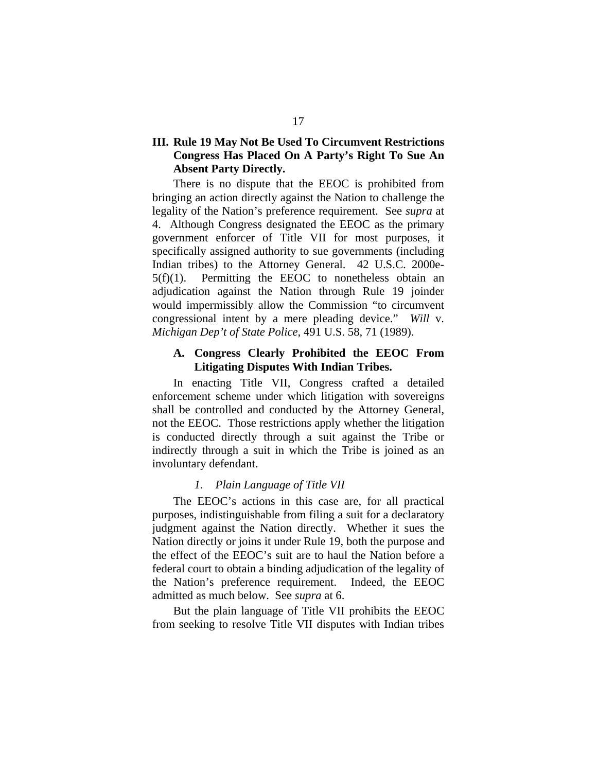## <span id="page-26-0"></span>**III. Rule 19 May Not Be Used To Circumvent Restrictions Congress Has Placed On A Party's Right To Sue An Absent Party Directly.**

There is no dispute that the EEOC is prohibited from bringing an action directly against the Nation to challenge the legality of the Nation's preference requirement. See *supra* at 4. Although Congress designated the EEOC as the primary government enforcer of Title VII for most purposes, it specifically assigned authority to sue governments (including Indian tribes) to the Attorney General. 42 U.S.C. 2000e- $5(f)(1)$ . Permitting the EEOC to nonetheless obtain an adjudication against the Nation through Rule 19 joinder would impermissibly allow the Commission "to circumvent congressional intent by a mere pleading device." *Will* v. *Michigan Dep't of State Police*, 491 U.S. 58, 71 (1989).

## **A. Congress Clearly Prohibited the EEOC From Litigating Disputes With Indian Tribes.**

In enacting Title VII, Congress crafted a detailed enforcement scheme under which litigation with sovereigns shall be controlled and conducted by the Attorney General, not the EEOC. Those restrictions apply whether the litigation is conducted directly through a suit against the Tribe or indirectly through a suit in which the Tribe is joined as an involuntary defendant.

### *1. Plain Language of Title VII*

The EEOC's actions in this case are, for all practical purposes, indistinguishable from filing a suit for a declaratory judgment against the Nation directly. Whether it sues the Nation directly or joins it under Rule 19, both the purpose and the effect of the EEOC's suit are to haul the Nation before a federal court to obtain a binding adjudication of the legality of the Nation's preference requirement. Indeed, the EEOC admitted as much below. See *supra* at 6.

But the plain language of Title VII prohibits the EEOC from seeking to resolve Title VII disputes with Indian tribes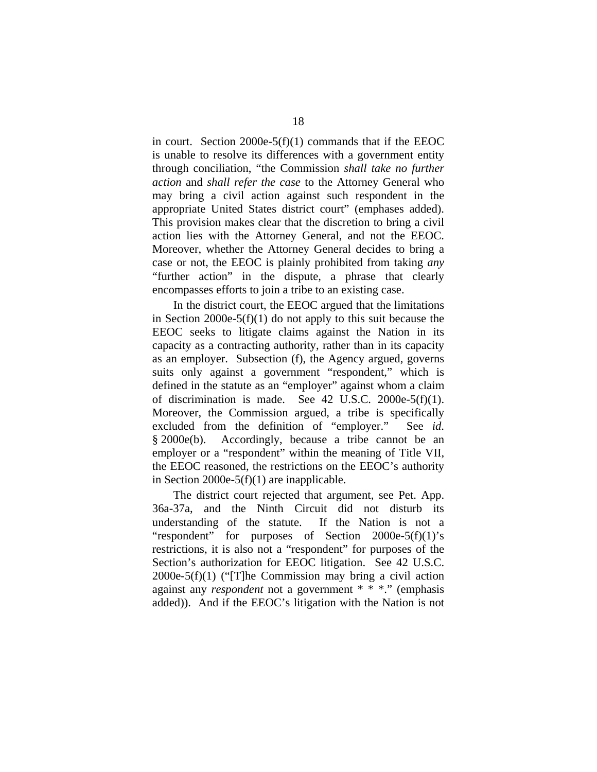in court. Section 2000e-5(f)(1) commands that if the EEOC is unable to resolve its differences with a government entity through conciliation, "the Commission *shall take no further action* and *shall refer the case* to the Attorney General who may bring a civil action against such respondent in the appropriate United States district court" (emphases added). This provision makes clear that the discretion to bring a civil action lies with the Attorney General, and not the EEOC. Moreover, whether the Attorney General decides to bring a case or not, the EEOC is plainly prohibited from taking *any* "further action" in the dispute, a phrase that clearly encompasses efforts to join a tribe to an existing case.

In the district court, the EEOC argued that the limitations in Section 2000e-5(f)(1) do not apply to this suit because the EEOC seeks to litigate claims against the Nation in its capacity as a contracting authority, rather than in its capacity as an employer. Subsection (f), the Agency argued, governs suits only against a government "respondent," which is defined in the statute as an "employer" against whom a claim of discrimination is made. See 42 U.S.C. 2000e-5(f)(1). Moreover, the Commission argued, a tribe is specifically excluded from the definition of "employer." See *id*. § 2000e(b). Accordingly, because a tribe cannot be an employer or a "respondent" within the meaning of Title VII, the EEOC reasoned, the restrictions on the EEOC's authority in Section 2000e-5(f)(1) are inapplicable.

The district court rejected that argument, see Pet. App. 36a-37a, and the Ninth Circuit did not disturb its understanding of the statute. If the Nation is not a "respondent" for purposes of Section 2000e-5(f)(1)'s restrictions, it is also not a "respondent" for purposes of the Section's authorization for EEOC litigation. See 42 U.S.C. 2000e-5(f)(1) ("[T]he Commission may bring a civil action against any *respondent* not a government \* \* \*." (emphasis added)). And if the EEOC's litigation with the Nation is not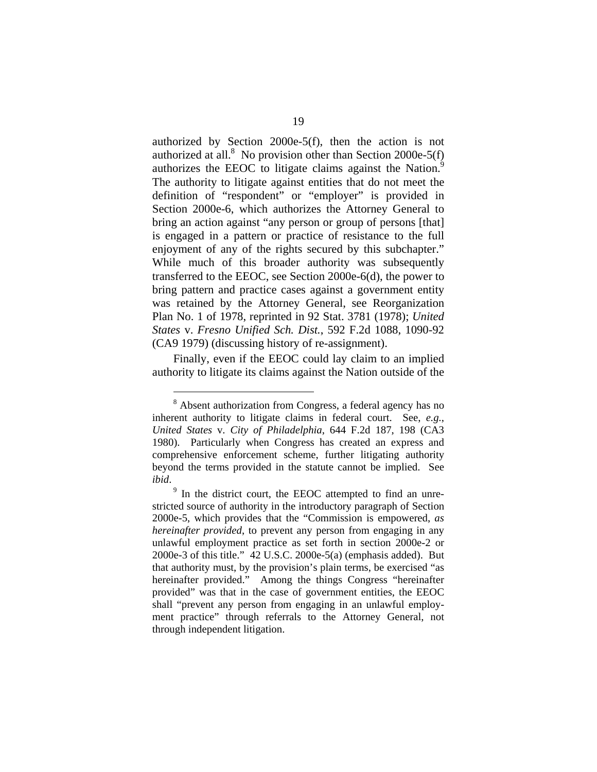authorized by Section 2000e-5(f), then the action is not authorized at all.<sup>[8](#page-28-0)</sup> No provision other than Section 2000e-5(f) authorizes the EEOC to litigate claims against the Nation. $9$ The authority to litigate against entities that do not meet the definition of "respondent" or "employer" is provided in Section 2000e-6, which authorizes the Attorney General to bring an action against "any person or group of persons [that] is engaged in a pattern or practice of resistance to the full enjoyment of any of the rights secured by this subchapter." While much of this broader authority was subsequently transferred to the EEOC, see Section 2000e-6(d), the power to bring pattern and practice cases against a government entity was retained by the Attorney General, see Reorganization Plan No. 1 of 1978, reprinted in 92 Stat. 3781 (1978); *United States* v. *Fresno Unified Sch. Dist.*, 592 F.2d 1088, 1090-92 (CA9 1979) (discussing history of re-assignment).

Finally, even if the EEOC could lay claim to an implied authority to litigate its claims against the Nation outside of the

<span id="page-28-0"></span><sup>&</sup>lt;sup>8</sup> Absent authorization from Congress, a federal agency has no inherent authority to litigate claims in federal court. See, *e.g.*, *United States* v. *City of Philadelphia*, 644 F.2d 187, 198 (CA3 1980). Particularly when Congress has created an express and comprehensive enforcement scheme, further litigating authority beyond the terms provided in the statute cannot be implied. See *ibid*.

<span id="page-28-1"></span><sup>&</sup>lt;sup>9</sup> In the district court, the EEOC attempted to find an unrestricted source of authority in the introductory paragraph of Section 2000e-5, which provides that the "Commission is empowered, *as hereinafter provided*, to prevent any person from engaging in any unlawful employment practice as set forth in section 2000e-2 or 2000e-3 of this title." 42 U.S.C. 2000e-5(a) (emphasis added). But that authority must, by the provision's plain terms, be exercised "as hereinafter provided." Among the things Congress "hereinafter provided" was that in the case of government entities, the EEOC shall "prevent any person from engaging in an unlawful employment practice" through referrals to the Attorney General, not through independent litigation.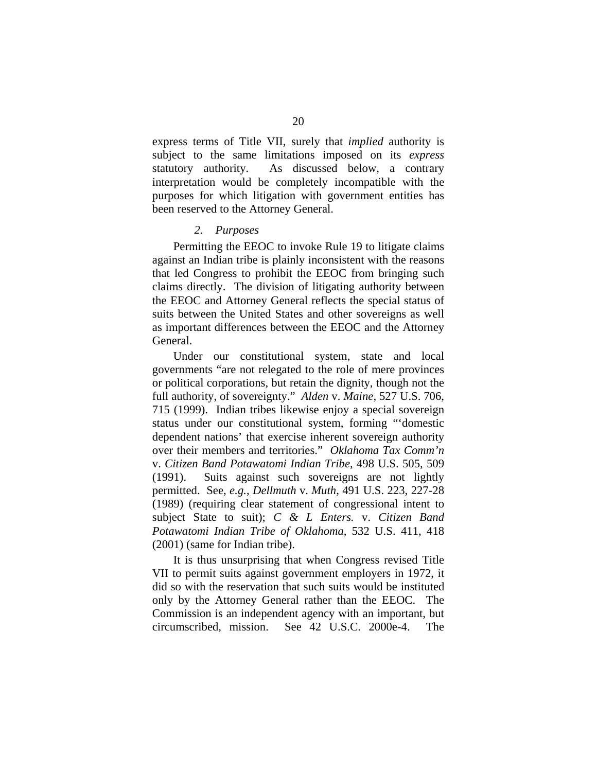<span id="page-29-0"></span>express terms of Title VII, surely that *implied* authority is subject to the same limitations imposed on its *express* statutory authority. As discussed below, a contrary interpretation would be completely incompatible with the purposes for which litigation with government entities has been reserved to the Attorney General.

#### *2. Purposes*

Permitting the EEOC to invoke Rule 19 to litigate claims against an Indian tribe is plainly inconsistent with the reasons that led Congress to prohibit the EEOC from bringing such claims directly. The division of litigating authority between the EEOC and Attorney General reflects the special status of suits between the United States and other sovereigns as well as important differences between the EEOC and the Attorney General.

Under our constitutional system, state and local governments "are not relegated to the role of mere provinces or political corporations, but retain the dignity, though not the full authority, of sovereignty." *Alden* v. *Maine*, 527 U.S. 706, 715 (1999). Indian tribes likewise enjoy a special sovereign status under our constitutional system, forming "'domestic dependent nations' that exercise inherent sovereign authority over their members and territories." *Oklahoma Tax Comm'n* v. *Citizen Band Potawatomi Indian Tribe*, 498 U.S. 505, 509 (1991). Suits against such sovereigns are not lightly permitted. See, *e.g.*, *Dellmuth* v. *Muth*, 491 U.S. 223, 227-28 (1989) (requiring clear statement of congressional intent to subject State to suit); *C & L Enters.* v. *Citizen Band Potawatomi Indian Tribe of Oklahoma*, 532 U.S. 411, 418 (2001) (same for Indian tribe).

It is thus unsurprising that when Congress revised Title VII to permit suits against government employers in 1972, it did so with the reservation that such suits would be instituted only by the Attorney General rather than the EEOC. The Commission is an independent agency with an important, but circumscribed, mission. See 42 U.S.C. 2000e-4. The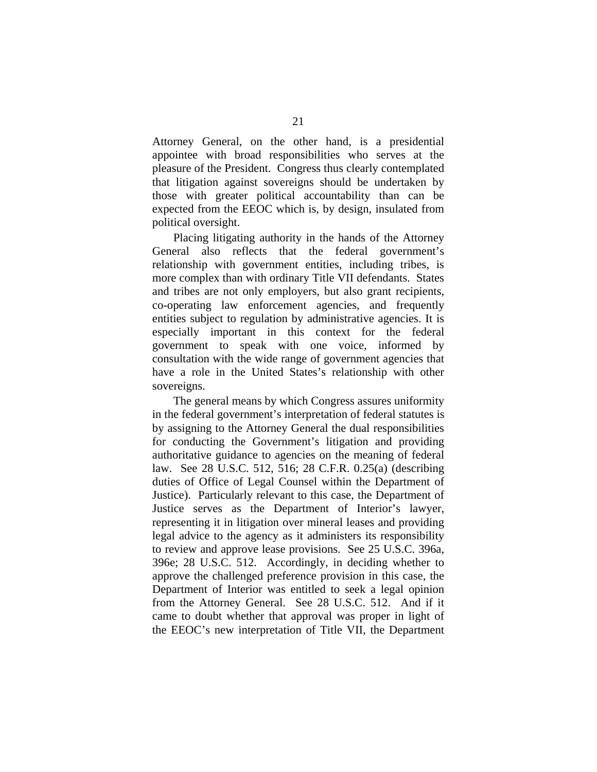Attorney General, on the other hand, is a presidential appointee with broad responsibilities who serves at the pleasure of the President. Congress thus clearly contemplated that litigation against sovereigns should be undertaken by those with greater political accountability than can be expected from the EEOC which is, by design, insulated from political oversight.

Placing litigating authority in the hands of the Attorney General also reflects that the federal government's relationship with government entities, including tribes, is more complex than with ordinary Title VII defendants. States and tribes are not only employers, but also grant recipients, co-operating law enforcement agencies, and frequently entities subject to regulation by administrative agencies. It is especially important in this context for the federal government to speak with one voice, informed by consultation with the wide range of government agencies that have a role in the United States's relationship with other sovereigns.

The general means by which Congress assures uniformity in the federal government's interpretation of federal statutes is by assigning to the Attorney General the dual responsibilities for conducting the Government's litigation and providing authoritative guidance to agencies on the meaning of federal law. See 28 U.S.C. 512, 516; 28 C.F.R. 0.25(a) (describing duties of Office of Legal Counsel within the Department of Justice). Particularly relevant to this case, the Department of Justice serves as the Department of Interior's lawyer, representing it in litigation over mineral leases and providing legal advice to the agency as it administers its responsibility to review and approve lease provisions. See 25 U.S.C. 396a, 396e; 28 U.S.C. 512. Accordingly, in deciding whether to approve the challenged preference provision in this case, the Department of Interior was entitled to seek a legal opinion from the Attorney General. See 28 U.S.C. 512. And if it came to doubt whether that approval was proper in light of the EEOC's new interpretation of Title VII, the Department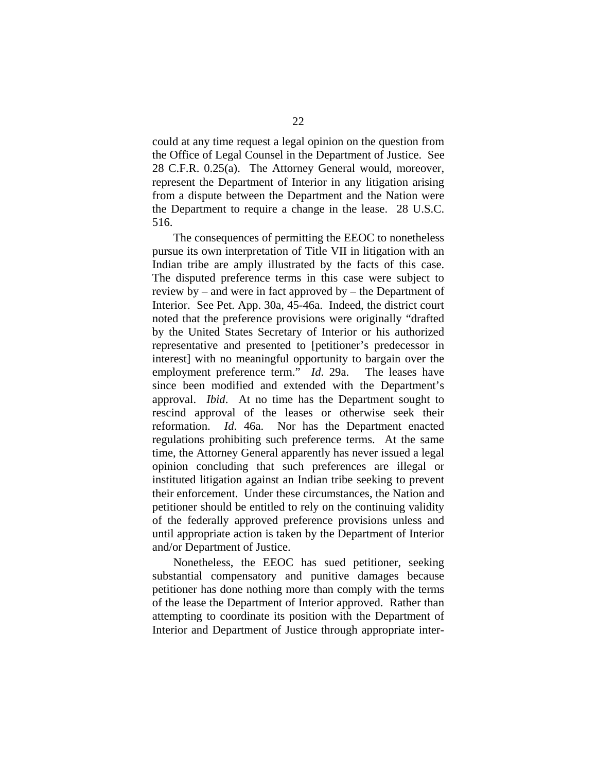could at any time request a legal opinion on the question from the Office of Legal Counsel in the Department of Justice. See 28 C.F.R. 0.25(a). The Attorney General would, moreover, represent the Department of Interior in any litigation arising from a dispute between the Department and the Nation were the Department to require a change in the lease. 28 U.S.C. 516.

The consequences of permitting the EEOC to nonetheless pursue its own interpretation of Title VII in litigation with an Indian tribe are amply illustrated by the facts of this case. The disputed preference terms in this case were subject to review by – and were in fact approved by – the Department of Interior. See Pet. App. 30a, 45-46a. Indeed, the district court noted that the preference provisions were originally "drafted by the United States Secretary of Interior or his authorized representative and presented to [petitioner's predecessor in interest] with no meaningful opportunity to bargain over the employment preference term." *Id*. 29a. The leases have since been modified and extended with the Department's approval. *Ibid*. At no time has the Department sought to rescind approval of the leases or otherwise seek their reformation. *Id*. 46a. Nor has the Department enacted regulations prohibiting such preference terms. At the same time, the Attorney General apparently has never issued a legal opinion concluding that such preferences are illegal or instituted litigation against an Indian tribe seeking to prevent their enforcement. Under these circumstances, the Nation and petitioner should be entitled to rely on the continuing validity of the federally approved preference provisions unless and until appropriate action is taken by the Department of Interior and/or Department of Justice.

Nonetheless, the EEOC has sued petitioner, seeking substantial compensatory and punitive damages because petitioner has done nothing more than comply with the terms of the lease the Department of Interior approved. Rather than attempting to coordinate its position with the Department of Interior and Department of Justice through appropriate inter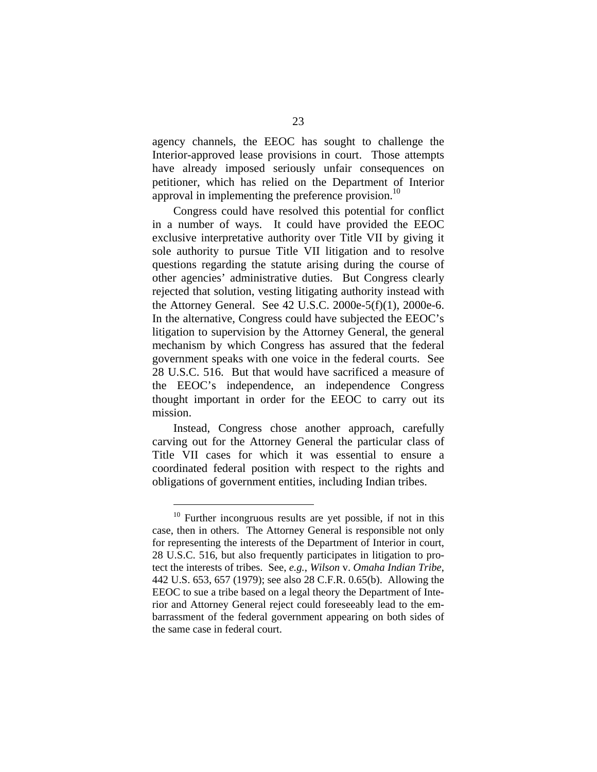agency channels, the EEOC has sought to challenge the Interior-approved lease provisions in court. Those attempts have already imposed seriously unfair consequences on petitioner, which has relied on the Department of Interior approval in implementing the preference provision. $^{10}$ 

Congress could have resolved this potential for conflict in a number of ways. It could have provided the EEOC exclusive interpretative authority over Title VII by giving it sole authority to pursue Title VII litigation and to resolve questions regarding the statute arising during the course of other agencies' administrative duties. But Congress clearly rejected that solution, vesting litigating authority instead with the Attorney General. See 42 U.S.C. 2000e-5(f)(1), 2000e-6. In the alternative, Congress could have subjected the EEOC's litigation to supervision by the Attorney General, the general mechanism by which Congress has assured that the federal government speaks with one voice in the federal courts. See 28 U.S.C. 516. But that would have sacrificed a measure of the EEOC's independence, an independence Congress thought important in order for the EEOC to carry out its mission.

Instead, Congress chose another approach, carefully carving out for the Attorney General the particular class of Title VII cases for which it was essential to ensure a coordinated federal position with respect to the rights and obligations of government entities, including Indian tribes.

<span id="page-32-0"></span> $10$  Further incongruous results are yet possible, if not in this case, then in others. The Attorney General is responsible not only for representing the interests of the Department of Interior in court, 28 U.S.C. 516, but also frequently participates in litigation to protect the interests of tribes. See, *e.g.*, *Wilson* v. *Omaha Indian Tribe*, 442 U.S. 653, 657 (1979); see also 28 C.F.R. 0.65(b). Allowing the EEOC to sue a tribe based on a legal theory the Department of Interior and Attorney General reject could foreseeably lead to the embarrassment of the federal government appearing on both sides of the same case in federal court.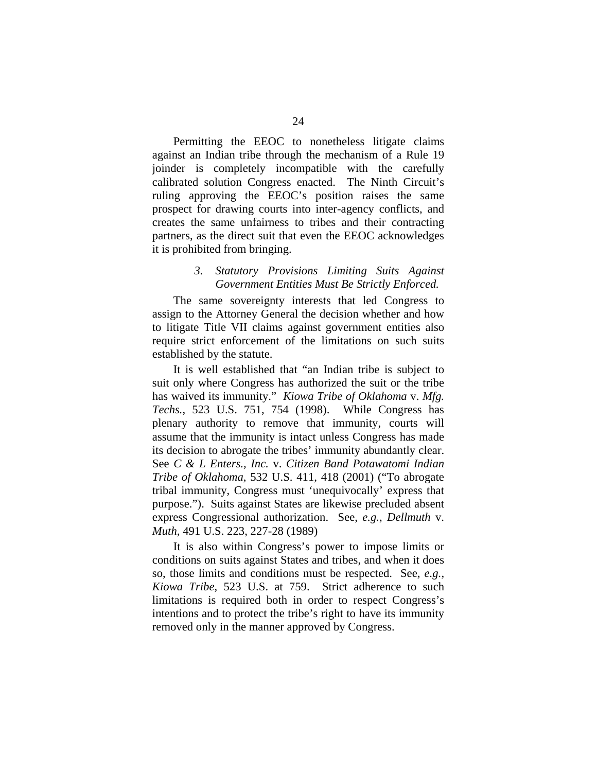<span id="page-33-0"></span>Permitting the EEOC to nonetheless litigate claims against an Indian tribe through the mechanism of a Rule 19 joinder is completely incompatible with the carefully calibrated solution Congress enacted. The Ninth Circuit's ruling approving the EEOC's position raises the same prospect for drawing courts into inter-agency conflicts, and creates the same unfairness to tribes and their contracting partners, as the direct suit that even the EEOC acknowledges it is prohibited from bringing.

### *3. Statutory Provisions Limiting Suits Against Government Entities Must Be Strictly Enforced.*

The same sovereignty interests that led Congress to assign to the Attorney General the decision whether and how to litigate Title VII claims against government entities also require strict enforcement of the limitations on such suits established by the statute.

It is well established that "an Indian tribe is subject to suit only where Congress has authorized the suit or the tribe has waived its immunity." *Kiowa Tribe of Oklahoma* v. *Mfg. Techs.*, 523 U.S. 751, 754 (1998). While Congress has plenary authority to remove that immunity, courts will assume that the immunity is intact unless Congress has made its decision to abrogate the tribes' immunity abundantly clear. See *C & L Enters., Inc.* v. *Citizen Band Potawatomi Indian Tribe of Oklahoma*, 532 U.S. 411, 418 (2001) ("To abrogate tribal immunity, Congress must 'unequivocally' express that purpose."). Suits against States are likewise precluded absent express Congressional authorization. See, *e.g.*, *Dellmuth* v. *Muth,* 491 U.S. 223, 227-28 (1989)

It is also within Congress's power to impose limits or conditions on suits against States and tribes, and when it does so, those limits and conditions must be respected. See, *e.g.*, *Kiowa Tribe*, 523 U.S. at 759. Strict adherence to such limitations is required both in order to respect Congress's intentions and to protect the tribe's right to have its immunity removed only in the manner approved by Congress.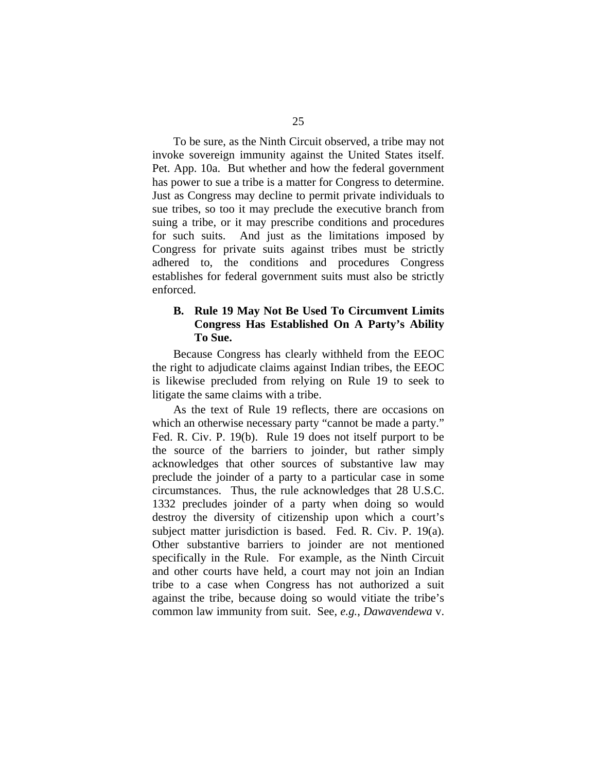<span id="page-34-0"></span>To be sure, as the Ninth Circuit observed, a tribe may not invoke sovereign immunity against the United States itself. Pet. App. 10a. But whether and how the federal government has power to sue a tribe is a matter for Congress to determine. Just as Congress may decline to permit private individuals to sue tribes, so too it may preclude the executive branch from suing a tribe, or it may prescribe conditions and procedures for such suits. And just as the limitations imposed by Congress for private suits against tribes must be strictly adhered to, the conditions and procedures Congress establishes for federal government suits must also be strictly enforced.

### **B. Rule 19 May Not Be Used To Circumvent Limits Congress Has Established On A Party's Ability To Sue.**

Because Congress has clearly withheld from the EEOC the right to adjudicate claims against Indian tribes, the EEOC is likewise precluded from relying on Rule 19 to seek to litigate the same claims with a tribe.

As the text of Rule 19 reflects, there are occasions on which an otherwise necessary party "cannot be made a party." Fed. R. Civ. P. 19(b). Rule 19 does not itself purport to be the source of the barriers to joinder, but rather simply acknowledges that other sources of substantive law may preclude the joinder of a party to a particular case in some circumstances. Thus, the rule acknowledges that 28 U.S.C. 1332 precludes joinder of a party when doing so would destroy the diversity of citizenship upon which a court's subject matter jurisdiction is based. Fed. R. Civ. P. 19(a). Other substantive barriers to joinder are not mentioned specifically in the Rule. For example, as the Ninth Circuit and other courts have held, a court may not join an Indian tribe to a case when Congress has not authorized a suit against the tribe, because doing so would vitiate the tribe's common law immunity from suit. See, *e.g.*, *Dawavendewa* v.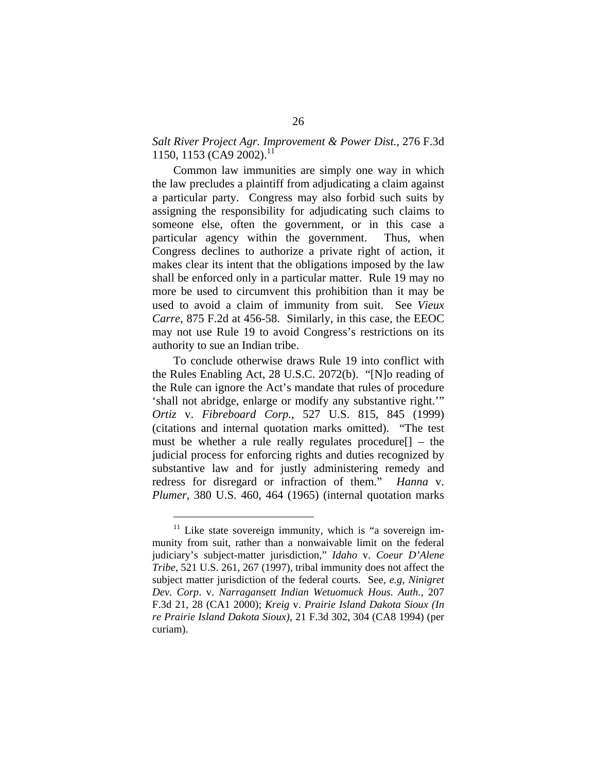### *Salt River Project Agr. Improvement & Power Dist.*, 276 F.3d [11](#page-35-0)50, 1153 (CA9 2002).<sup>11</sup>

Common law immunities are simply one way in which the law precludes a plaintiff from adjudicating a claim against a particular party. Congress may also forbid such suits by assigning the responsibility for adjudicating such claims to someone else, often the government, or in this case a particular agency within the government. Thus, when Congress declines to authorize a private right of action, it makes clear its intent that the obligations imposed by the law shall be enforced only in a particular matter. Rule 19 may no more be used to circumvent this prohibition than it may be used to avoid a claim of immunity from suit. See *Vieux Carre*, 875 F.2d at 456-58. Similarly, in this case, the EEOC may not use Rule 19 to avoid Congress's restrictions on its authority to sue an Indian tribe.

To conclude otherwise draws Rule 19 into conflict with the Rules Enabling Act, 28 U.S.C. 2072(b). "[N]o reading of the Rule can ignore the Act's mandate that rules of procedure 'shall not abridge, enlarge or modify any substantive right.'" *Ortiz* v. *Fibreboard Corp.*, 527 U.S. 815, 845 (1999) (citations and internal quotation marks omitted). "The test must be whether a rule really regulates procedure[] – the judicial process for enforcing rights and duties recognized by substantive law and for justly administering remedy and redress for disregard or infraction of them." *Hanna* v. *Plumer*, 380 U.S. 460, 464 (1965) (internal quotation marks

<span id="page-35-0"></span>Like state sovereign immunity, which is "a sovereign immunity from suit, rather than a nonwaivable limit on the federal judiciary's subject-matter jurisdiction," *Idaho* v. *Coeur D'Alene Tribe*, 521 U.S. 261, 267 (1997), tribal immunity does not affect the subject matter jurisdiction of the federal courts. See, *e.g*, *Ninigret Dev. Corp*. v. *Narragansett Indian Wetuomuck Hous. Auth.*, 207 F.3d 21, 28 (CA1 2000); *Kreig* v. *Prairie Island Dakota Sioux (In re Prairie Island Dakota Sioux)*, 21 F.3d 302, 304 (CA8 1994) (per curiam).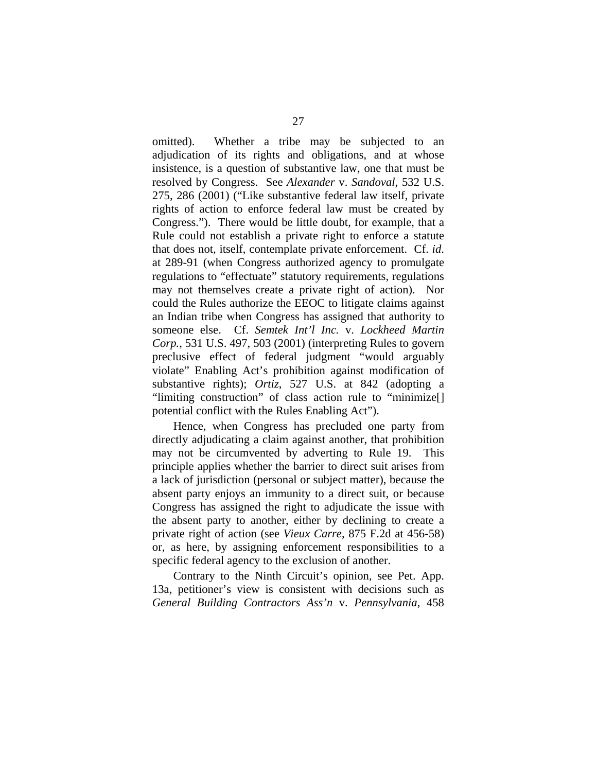omitted). Whether a tribe may be subjected to an adjudication of its rights and obligations, and at whose insistence, is a question of substantive law, one that must be resolved by Congress. See *Alexander* v. *Sandoval*, 532 U.S. 275, 286 (2001) ("Like substantive federal law itself, private rights of action to enforce federal law must be created by Congress."). There would be little doubt, for example, that a Rule could not establish a private right to enforce a statute that does not, itself, contemplate private enforcement. Cf. *id*. at 289-91 (when Congress authorized agency to promulgate regulations to "effectuate" statutory requirements, regulations may not themselves create a private right of action). Nor could the Rules authorize the EEOC to litigate claims against an Indian tribe when Congress has assigned that authority to someone else. Cf. *Semtek Int'l Inc.* v. *Lockheed Martin Corp.*, 531 U.S. 497, 503 (2001) (interpreting Rules to govern preclusive effect of federal judgment "would arguably violate" Enabling Act's prohibition against modification of substantive rights); *Ortiz*, 527 U.S. at 842 (adopting a "limiting construction" of class action rule to "minimize[] potential conflict with the Rules Enabling Act").

Hence, when Congress has precluded one party from directly adjudicating a claim against another, that prohibition may not be circumvented by adverting to Rule 19. This principle applies whether the barrier to direct suit arises from a lack of jurisdiction (personal or subject matter), because the absent party enjoys an immunity to a direct suit, or because Congress has assigned the right to adjudicate the issue with the absent party to another, either by declining to create a private right of action (see *Vieux Carre*, 875 F.2d at 456-58) or, as here, by assigning enforcement responsibilities to a specific federal agency to the exclusion of another.

Contrary to the Ninth Circuit's opinion, see Pet. App. 13a, petitioner's view is consistent with decisions such as *General Building Contractors Ass'n* v. *Pennsylvania*, 458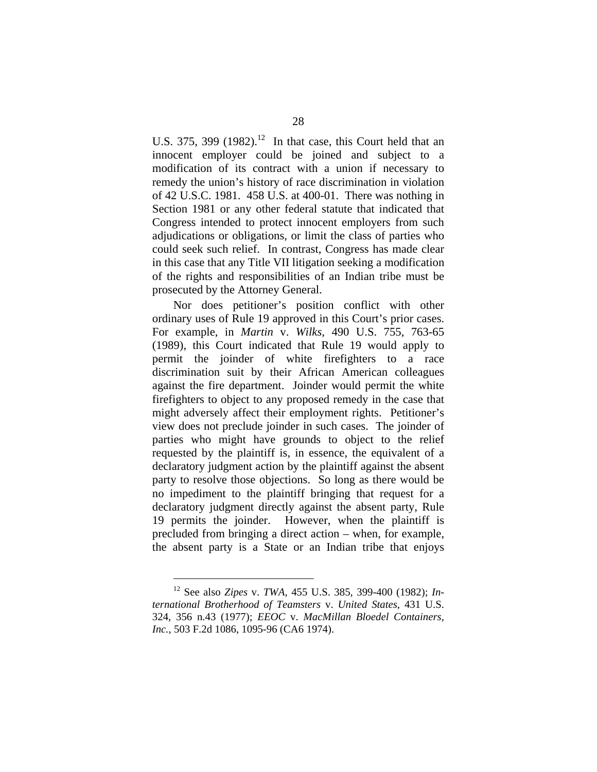U.S. 375, 399  $(1982)$ .<sup>12</sup> In that case, this Court held that an innocent employer could be joined and subject to a modification of its contract with a union if necessary to remedy the union's history of race discrimination in violation of 42 U.S.C. 1981. 458 U.S. at 400-01. There was nothing in Section 1981 or any other federal statute that indicated that Congress intended to protect innocent employers from such adjudications or obligations, or limit the class of parties who could seek such relief. In contrast, Congress has made clear in this case that any Title VII litigation seeking a modification of the rights and responsibilities of an Indian tribe must be prosecuted by the Attorney General.

Nor does petitioner's position conflict with other ordinary uses of Rule 19 approved in this Court's prior cases. For example, in *Martin* v. *Wilks*, 490 U.S. 755, 763-65 (1989), this Court indicated that Rule 19 would apply to permit the joinder of white firefighters to a race discrimination suit by their African American colleagues against the fire department. Joinder would permit the white firefighters to object to any proposed remedy in the case that might adversely affect their employment rights. Petitioner's view does not preclude joinder in such cases. The joinder of parties who might have grounds to object to the relief requested by the plaintiff is, in essence, the equivalent of a declaratory judgment action by the plaintiff against the absent party to resolve those objections. So long as there would be no impediment to the plaintiff bringing that request for a declaratory judgment directly against the absent party, Rule 19 permits the joinder. However, when the plaintiff is precluded from bringing a direct action – when, for example, the absent party is a State or an Indian tribe that enjoys

<span id="page-37-0"></span><sup>12</sup> See also *Zipes* v. *TWA*, 455 U.S. 385, 399-400 (1982); *International Brotherhood of Teamsters* v. *United States*, 431 U.S. 324, 356 n.43 (1977); *EEOC* v. *MacMillan Bloedel Containers, Inc.*, 503 F.2d 1086, 1095-96 (CA6 1974).